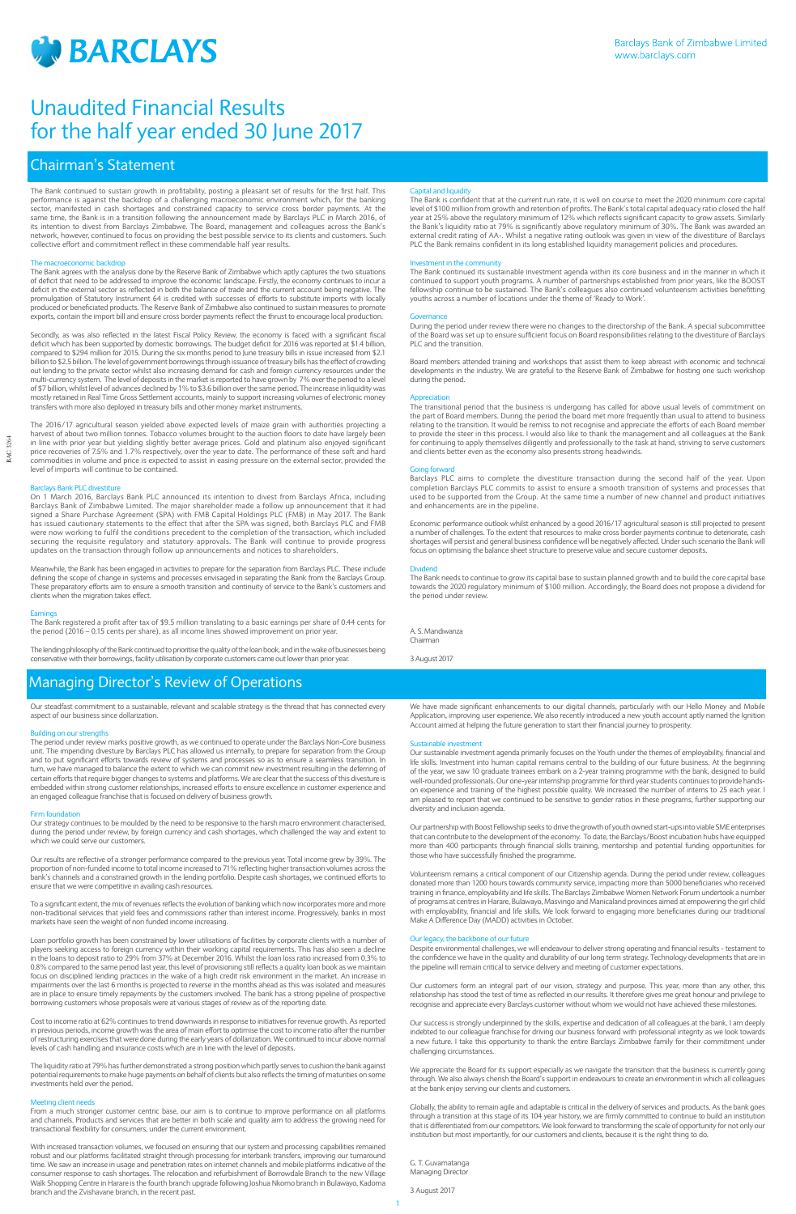

1

# Chairman's Statement

The Bank continued to sustain growth in profitability, posting a pleasant set of results for the first half. This performance is against the backdrop of a challenging macroeconomic environment which, for the banking sector, manifested in cash shortages and constrained capacity to service cross border payments. At the same time, the Bank is in a transition following the announcement made by Barclays PLC in March 2016, of its intention to divest from Barclays Zimbabwe. The Board, management and colleagues across the Bank's network, however, continued to focus on providing the best possible service to its clients and customers. Such collective effort and commitment reflect in these commendable half year results.

# The macroeconomic backdrop

The Bank agrees with the analysis done by the Reserve Bank of Zimbabwe which aptly captures the two situations of deficit that need to be addressed to improve the economic landscape. Firstly, the economy continues to incur a deficit in the external sector as reflected in both the balance of trade and the current account being negative. The promulgation of Statutory Instrument 64 is credited with successes of efforts to substitute imports with locally produced or beneficiated products. The Reserve Bank of Zimbabwe also continued to sustain measures to promote exports, contain the import bill and ensure cross border payments reflect the thrust to encourage local production.

Secondly, as was also reflected in the latest Fiscal Policy Review, the economy is faced with a significant fiscal deficit which has been supported by domestic borrowings. The budget deficit for 2016 was reported at \$1.4 billion, compared to \$294 million for 2015. During the six months period to June treasury bills in issue increased from \$2.1 billion to \$2.5 billion. The level of government borrowings through issuance of treasury bills has the effect of crowding out lending to the private sector whilst also increasing demand for cash and foreign currency resources under the multi-currency system. The level of deposits in the market is reported to have grown by 7% over the period to a level of \$7 billion, whilst level of advances declined by 1% to \$3.6 billion over the same period. The increase in liquidity was mostly retained in Real Time Gross Settlement accounts, mainly to support increasing volumes of electronic money transfers with more also deployed in treasury bills and other money market instruments.

The Bank is confident that at the current run rate, it is well on course to meet the 2020 minimum core capital level of \$100 million from growth and retention of profits. The Bank's total capital adequacy ratio closed the half year at 25% above the regulatory minimum of 12% which reflects significant capacity to grow assets. Similarly the Bank's liquidity ratio at 79% is significantly above regulatory minimum of 30%. The Bank was awarded an external credit rating of AA-. Whilst a negative rating outlook was given in view of the divestiture of Barclays PLC the Bank remains confident in its long established liquidity management policies and procedures.

The 2016/17 agricultural season yielded above expected levels of maize grain with authorities projecting a harvest of about two million tonnes. Tobacco volumes brought to the auction floors to date have largely been in line with prior year but yielding slightly better average prices. Gold and platinum also enjoyed significant price recoveries of 7.5% and 1.7% respectively, over the year to date. The performance of these soft and hard commodities in volume and price is expected to assist in easing pressure on the external sector, provided the level of imports will continue to be contained.

## 's Bank PLC div

On 1 March 2016, Barclays Bank PLC announced its intention to divest from Barclays Africa, including Barclays Bank of Zimbabwe Limited. The major shareholder made a follow up announcement that it had signed a Share Purchase Agreement (SPA) with FMB Capital Holdings PLC (FMB) in May 2017. The Bank has issued cautionary statements to the effect that after the SPA was signed, both Barclays PLC and FMB were now working to fulfil the conditions precedent to the completion of the transaction, which included securing the requisite regulatory and statutory approvals. The Bank will continue to provide progress updates on the transaction through follow up announcements and notices to shareholders.

Meanwhile, the Bank has been engaged in activities to prepare for the separation from Barclays PLC. These include defining the scope of change in systems and processes envisaged in separating the Bank from the Barclays Group. These preparatory efforts aim to ensure a smooth transition and continuity of service to the Bank's customers and clients when the migration takes effect.

## Earning

The Bank registered a profit after tax of \$9.5 million translating to a basic earnings per share of 0.44 cents for the period (2016 – 0.15 cents per share), as all income lines showed improvement on prior year.

Our strategy continues to be moulded by the need to be responsive to the harsh macro environment characterised, during the period under review, by foreign currency and cash shortages, which challenged the way and extent to which we could serve our customers.

The lending philosophy of the Bank continued to prioritise the quality of the loan book, and in the wake of businesses being conservative with their borrowings, facility utilisation by corporate customers came out lower than prior year.

### Capital and liquidity

### Investment in the community

The Bank continued its sustainable investment agenda within its core business and in the manner in which it continued to support youth programs. A number of partnerships established from prior years, like the BOOST fellowship continue to be sustained. The Bank's colleagues also continued volunteerism activities benefitting youths across a number of locations under the theme of 'Ready to Work'.

#### Governance

During the period under review there were no changes to the directorship of the Bank. A special subcommittee of the Board was set up to ensure sufficient focus on Board responsibilities relating to the divestiture of Barclays PLC and the transition.

Board members attended training and workshops that assist them to keep abreast with economic and technical developments in the industry. We are grateful to the Reserve Bank of Zimbabwe for hosting one such workshop during the period.

## Appreciation

The transitional period that the business is undergoing has called for above usual levels of commitment on the part of Board members. During the period the board met more frequently than usual to attend to business relating to the transition. It would be remiss to not recognise and appreciate the efforts of each Board member to provide the steer in this process. I would also like to thank the management and all colleagues at the Bank for continuing to apply themselves diligently and professionally to the task at hand, striving to serve customers and clients better even as the economy also presents strong headwinds.

## Going forward

Barclays PLC aims to complete the divestiture transaction during the second half of the year. Upon completion Barclays PLC commits to assist to ensure a smooth transition of systems and processes that used to be supported from the Group. At the same time a number of new channel and product initiatives and enhancements are in the pipeline.

Economic performance outlook whilst enhanced by a good 2016/17 agricultural season is still projected to present a number of challenges. To the extent that resources to make cross border payments continue to deteriorate, cash shortages will persist and general business confidence will be negatively affected. Under such scenario the Bank will focus on optimising the balance sheet structure to preserve value and secure customer deposits.

# Dividend

The Bank needs to continue to grow its capital base to sustain planned growth and to build the core capital base towards the 2020 regulatory minimum of \$100 million. Accordingly, the Board does not propose a dividend for the period under review.

A. S. Mandiwanza Chairman

3 August 2017

Our steadfast commitment to a sustainable, relevant and scalable strategy is the thread that has connected every aspect of our business since dollarization.

## Building on our strengths

The period under review marks positive growth, as we continued to operate under the Barclays Non-Core business unit. The impending divesture by Barclays PLC has allowed us internally, to prepare for separation from the Group and to put significant efforts towards review of systems and processes so as to ensure a seamless transition. In turn, we have managed to balance the extent to which we can commit new investment resulting in the deferring of certain efforts that require bigger changes to systems and platforms. We are clear that the success of this divesture is embedded within strong customer relationships, increased efforts to ensure excellence in customer experience and an engaged colleague franchise that is focused on delivery of business growth.

#### Firm foundation

Our results are reflective of a stronger performance compared to the previous year. Total income grew by 39%. The proportion of non-funded income to total income increased to 71% reflecting higher transaction volumes across the bank's channels and a constrained growth in the lending portfolio. Despite cash shortages, we continued efforts to ensure that we were competitive in availing cash resources.

To a significant extent, the mix of revenues reflects the evolution of banking which now incorporates more and more non-traditional services that yield fees and commissions rather than interest income. Progressively, banks in most markets have seen the weight of non funded income increasing.

Loan portfolio growth has been constrained by lower utilisations of facilities by corporate clients with a number of players seeking access to foreign currency within their working capital requirements. This has also seen a decline in the loans to deposit ratio to 29% from 37% at December 2016. Whilst the loan loss ratio increased from 0.3% to

0.8% compared to the same period last year, this level of provisioning still reflects a quality loan book as we maintain focus on disciplined lending practices in the wake of a high credit risk environment in the market. An increase in impairments over the last 6 months is projected to reverse in the months ahead as this was isolated and measures are in place to ensure timely repayments by the customers involved. The bank has a strong pipeline of prospective borrowing customers whose proposals were at various stages of review as of the reporting date.

Cost to income ratio at 62% continues to trend downwards in response to initiatives for revenue growth. As reported in previous periods, income growth was the area of main effort to optimise the cost to income ratio after the number of restructuring exercises that were done during the early years of dollarization. We continued to incur above normal levels of cash handling and insurance costs which are in line with the level of deposits.

The liquidity ratio at 79% has further demonstrated a strong position which partly serves to cushion the bank against potential requirements to make huge payments on behalf of clients but also reflects the timing of maturities on some investments held over the period.

### Meeting client needs

From a much stronger customer centric base, our aim is to continue to improve performance on all platforms and channels. Products and services that are better in both scale and quality aim to address the growing need for transactional flexibility for consumers, under the current environment.

With increased transaction volumes, we focused on ensuring that our system and processing capabilities remained robust and our platforms facilitated straight through processing for interbank transfers, improving our turnaround time. We saw an increase in usage and penetration rates on internet channels and mobile platforms indicative of the consumer response to cash shortages. The relocation and refurbishment of Borrowdale Branch to the new Village Walk Shopping Centre in Harare is the fourth branch upgrade following Joshua Nkomo branch in Bulawayo, Kadoma branch and the Zvishavane branch, in the recent past.

We have made significant enhancements to our digital channels, particularly with our Hello Money and Mobile Application, improving user experience. We also recently introduced a new youth account aptly named the Ignition Account aimed at helping the future generation to start their financial journey to prosperity.

#### Sustainable investment

Our sustainable investment agenda primarily focuses on the Youth under the themes of employability, financial and life skills. Investment into human capital remains central to the building of our future business. At the beginning of the year, we saw 10 graduate trainees embark on a 2-year training programme with the bank, designed to build well-rounded professionals. Our one-year internship programme for third year students continues to provide handson experience and training of the highest possible quality. We increased the number of interns to 25 each year. I am pleased to report that we continued to be sensitive to gender ratios in these programs, further supporting our diversity and inclusion agenda.

Our partnership with Boost Fellowship seeks to drive the growth of youth owned start-ups into viable SME enterprises that can contribute to the development of the economy. To date, the Barclays/Boost incubation hubs have equipped more than 400 participants through financial skills training, mentorship and potential funding opportunities for those who have successfully finished the programme.

Volunteerism remains a critical component of our Citizenship agenda. During the period under review, colleagues donated more than 1200 hours towards community service, impacting more than 5000 beneficiaries who received training in finance, employability and life skills. The Barclays Zimbabwe Women Network Forum undertook a number of programs at centres in Harare, Bulawayo, Masvingo and Manicaland provinces aimed at empowering the girl child with employability, financial and life skills. We look forward to engaging more beneficiaries during our traditional Make A Difference Day (MADD) activities in October.

# Our legacy, the backbone of our future

Despite environmental challenges, we will endeavour to deliver strong operating and financial results - testament to the confidence we have in the quality and durability of our long term strategy. Technology developments that are in

the pipeline will remain critical to service delivery and meeting of customer expectations.

Our customers form an integral part of our vision, strategy and purpose. This year, more than any other, this relationship has stood the test of time as reflected in our results. It therefore gives me great honour and privilege to recognise and appreciate every Barclays customer without whom we would not have achieved these milestones.

Our success is strongly underpinned by the skills, expertise and dedication of all colleagues at the bank. I am deeply indebted to our colleague franchise for driving our business forward with professional integrity as we look towards a new future. I take this opportunity to thank the entire Barclays Zimbabwe family for their commitment under challenging circumstances.

We appreciate the Board for its support especially as we navigate the transition that the business is currently going through. We also always cherish the Board's support in endeavours to create an environment in which all colleagues at the bank enjoy serving our clients and customers.

Globally, the ability to remain agile and adaptable is critical in the delivery of services and products. As the bank goes through a transition at this stage of its 104 year history, we are firmly committed to continue to build an institution that is differentiated from our competitors. We look forward to transforming the scale of opportunity for not only our institution but most importantly, for our customers and clients, because it is the right thing to do.

G. T. Guvamatanga Managing Director

3 August 2017

# Managing Director's Review of Operations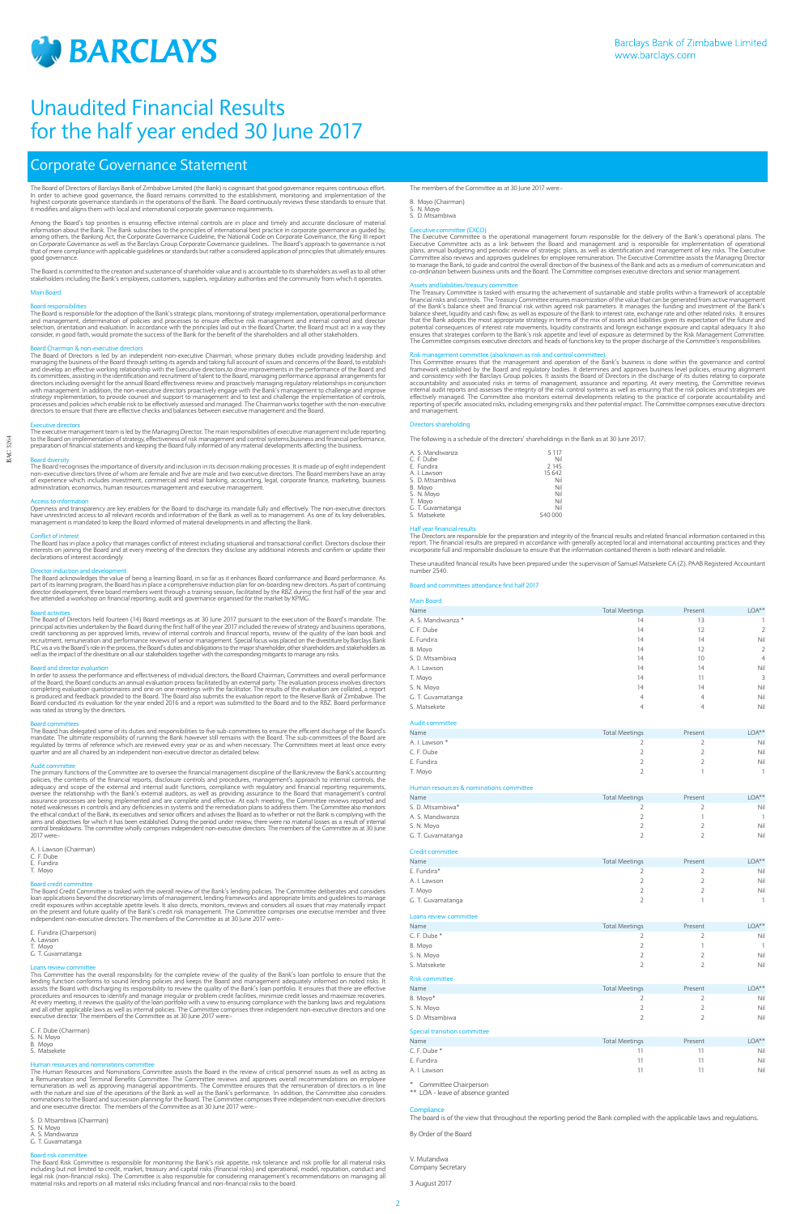

BAC 3264

BAC 3264

Board diversity<br>The Board recognises the importance of diversity and inclusion in its decision making processes. It is made up of eight independent non-executive directors three of whom are female and five are male and two executive directors. The Board members have an array of experience which includes investment, commercial and retail banking, accounting, legal, corporate finance, marketing, business<br>administration, economics, human resources management and executive management.

# Corporate Governance Statement

The Board of Directors of Barclays Bank of Zimbabwe Limited (the Bank) is cognisant that good governance requires continuous effort.<br>In order to achieve good governance, the Board remains committed to the establishment, mo

Among the Board's top priorities is ensuring effective internal controls are in place and timely and accurate disclosure of material<br>information about the Bank. The Bank subscribes to the principles of international best p that of mere compliance with applicable guidelines or standards but rather a considered application of principles that ultimately ensures good governance.

The Board is committed to the creation and sustenance of shareholder value and is accountable to its shareholders as well as to all other<br>stakeholders including the Bank's employees, customers, suppliers, regulatory author

# Main Board

Board responsibilities<br>The Board is responsible for the adoption of the Bank's strategic plans, monitoring of strategy implementation, operational performance<br>and management, determination of policies and processes to ensu

Board Chairman & non-executive directors<br>The Board of Directors is led by an independent non-executive Chairman, whose primary duties include providing leadership and<br>managing the business of the Board through setting its its committees, assisting in the identification and recruitment of talent to the Board, managing performance appraisal arrangements for<br>directors including oversight for the annual Board effectiveness review and proactivel

Executive directors The executive management team is led by the Managing Director. The main responsibilities of executive management include reporting to the Board on implementation of strategy, effectiveness of risk management and control systems,business and financial performance,<br>preparation of financial statements and keeping the Board fully informed of any material

Access to information<br>Openness and transparency are key enablers for the Board to discharge its mandate fully and effectively. The non-executive directors have unrestricted access to all relevant records and information of the Bank as well as to management. As one of its key deliverables, management is mandated to keep the Board informed of material developments in and affecting the Bank.

Conflict of interest<br>The Board has in place a policy that manages conflict of interest including situational and transactional conflict. Directors disclose their interests on joining the Board and at every meeting of the directors they disclose any additional interests and confirm or update their declarations of interest accordingly.

Board committees<br>The Board has delegated some of its duties and responsibilities to five sub-committees to ensure the efficient discharge of the Board's<br>mandate. The ultimate responsibility of running the Bank however stil quarter and are all chaired by an independent non-executive director as detailed below.

Audit committee<br>The primary functions of the Committee are to oversee the financial management discipline of the Bank,review the Bank's accounting<br>policies, the contents of the financial reports, disclosure controls and pr oversee the relationship with the Bank's external auditors, as well as providing assurance to the Board that management's control<br>assurance processes are being implemented and are complete and effective. At each meeting, t 2017 were:

Director induction and development The Board acknowledges the value of being a learning Board, in so far as it enhances Board conformance and Board performance. As part of its learning program, the Board has in place a comprehensive induction plan for on-boarding new directors. As part of continuing<br>director development, three board members went through a training session, facilitate five attended a workshop on financial reporting, audit and governance organised for the market by KPMG.

Board activities<br>The Board of Directors held fourteen (14) Board meetings as at 30 June 2017 pursuant to the execution of the Board's mandate. The<br>principal activities undertaken by the Board during the first half of the y recruitment, remuneration and performance reviews of senior management. Special focus was placed on the divestiture by Barclays Bank<br>PLC vis a vis the Board's role in the process, the Board's duties and obligations to the

Loans review committee<br>This Committee has the overall responsibility for the complete review of the quality of the Bank's loan portfolio to ensure that the lending function conforms to sound lending policies and keeps the Board and management adequately informed on noted risks. It<br>assists the Board with discharging its responsibility to review the quality of the Bank's loan p At every meeting, it reviews the quality of the loan portfolio with a view to ensuring compliance with the banking laws and regulations<br>and all other applicable laws as well as internal policies. The Committee comprises th executive director. The members of the Committee as at 30 June 2017 were:-

Board risk committee<br>The Board Risk Committee is responsible for monitoring the Bank's risk appetite, risk tolerance and risk profile for all material risks including but not limited to credit, market, treasury and capital risks (financial risks) and operational, model, reputation, conduct and<br>legal risk (non-financial risks). The Committee is also responsible for considering material risks and reports on all material risks including financial and non-financial risks to the board.

Board and director evaluation In order to assess the performance and effectiveness of individual directors, the Board Chairman, Committees and overall performance of the Board, the Board conducts an annual evaluation process facilitated by an external party. The evaluation process involves directors<br>completing evaluation questionnaires and one on one meetings with the facilitator. T was rated as strong by the directors.

A. I. Lawson (Chairman)

C. F. Dube E. Fundira T. Moyo

Board credit committee<br>The Board Credit Committee is tasked with the overall review of the Bank's lending policies. The Committee deliberates and considers<br>loan applications beyond the discretionary limits of management, l independent non-executive directors. The members of the Committee as at 30 June 2017 were:

E. Fundira (Chairperson) A. Lawson T. Moyo G. T. Guvamatanga

The members of the Committee as at 30 June 2017 were:-

C. F. Dube (Chairman) N. Moyo B. Moyo S. Matsekete

Human resources and nominations committee<br>The Human Resources and Nominations Committee assists the Board in the review of critical personnel issues as well as acting as<br>a Remuneration and Terminal Benefits Committee. The remuneration as well as approving managerial appointments. The Committee ensures that the remuneration of directors is in line<br>with the nature and size of the operations of the Bank as well as the Bank's performance. In ad nominations to the Board and succession planning for the Board. The Committee comprises three independent non-executive directors and one executive director. The members of the Committee as at 30 June 2017 were

S. D. Mtsambiwa (Chairman)

S. N. Moyo<br>A. S. Mandiwanza

G. T. Guvamatanga

# B. Moyo (Chairman) S. N. Moyo

S. D. Mtsambiwa

Executive committee (EXCO)<br>The Executive Committee is the operational management forum responsible for the delivery of the Bank's operational plans. The<br>Executive Committee acts as a link between the Board and management a to manage the Bank, to guide and control the overall direction of the business of the Bank and acts as a medium of communication and<br>co-ordination between business units and the Board. The Committee comprises executive dir

Assets and liabilities/treasury committee The Treasury Committee is tasked with ensuring the achievement of sustainable and stable profits within a framework of acceptable financial risks and controls. The Treasury Committee ensures maximization of the value that can be generated from active management of the Bank's balance sheet and financial risk within agreed risk parameters. It manages the funding and investment of the Bank's balance sheet, liquidity and cash flow, as well as exposure of the Bank to interest rate, ex The Committee comprises executive directors and heads of functions key to the proper discharge of the Committee's responsibilities.

Risk management committee (also known as risk and control committee)<br>This Committee ensures that the management and operation of the Bank's business is done within the governance and control<br>framework established by the Bo accountability and associated risks in terms of management, assurance and reporting. At every meeting, the Committee reviews internal audit reports and assesses the integrity of the risk control systems as well as ensuring that the risk policies and strategies are<br>effectively managed. The Committee also monitors external developments relating to

### Directors shareholding

The following is a schedule of the directors' shareholdings in the Bank as at 30 June 2017;

| A. S. Mandiwanza  | 5 1 1 7 |
|-------------------|---------|
| C. F. Dube        | Nil     |
| E. Fundira        | 2 1 4 5 |
| A. I. Lawson      | 15 642  |
| S. D. Mtsambiwa   | Nil     |
| B. Moyo           | Nil     |
| S. N. Moyo        | Nil     |
| T. Moyo           | Nil     |
| G. T. Guvamatanga | Nil     |
| S. Matsekete      | 540 000 |
|                   |         |

Half year financial results<br>The Directors are responsible for the preparation and integrity of the financial results and related financial information contained in this<br>report. The financial results are prepared in accorda

These unaudited financial results have been prepared under the supervision of Samuel Matsekete CA (Z). PAAB Registered Accountant number 2540.

#### Board and committees attendance first half 2017

Main Board Name Total Meetings Present LOA\*\* Contact Meetings Present LOA\*\* A. S. Mandiwanza \* 13 C. F. Dube 14 12 2 E. Fundira 14 14 Nil B. Moyo 14 12 2 S. D. Mtsambiwa 14 10 10 10 10 10 11 12 12 13 14 14 14 15 16 17 17 18 19 19 19 19 19 19 19 19 19 19 10 11 10 11 10 11 10 11 10 11 10 11 10 11 10 11 10 11 10 11 10 11 10 11 10 11 10 11 10 11 10 11 10 11 10 11 10 11 10 11 10 A. I. Lawson 14 14 Nil T. Moyo 14 11 3 S. N. Moyo 14 14 Nil G. T. Guvamatanga 4 4 Nil S. Matsekete 4 4 Nil Audit committee Name Contract Meetings Present LOA\*\* A. I. Lawson \* 2 2 Nil C. F. Dube 2 2 Nil E. Fundira 2 2 Nil T. Moyo 2 1 1 Human resources & nominations committee Name Contract Meetings Present LOA\*\*\* S. D. Mtsambiwa\* 2 2 Nil A. S. Mandiwanza 2 S. N. Moyo 2 2 Nil G. T. Guvamatanga 2 2 Nil Credit committee Name Total Meetings Present LOA\*\* E. Fundira\* 2 2 Nil A. I. Lawson 2 2 Nil T. Moyo 2 2 Nil G. T. Guvamatanga 2 1 1 Loans review committee Name Contract Contract Contract Contract Contract Contract Contract Contract Contract Contract Contract Contract Contract Contract Contract Contract Contract Contract Contract Contract Contract Contract Contract Contract C C. F. Dube \* 2 2 Nil B. Moyo 2 1 1 S. N. Moyo 2 2 Nil

| S. Matsekete |  | Nil |
|--------------|--|-----|
|              |  |     |

#### Risk committee

| Name            | <b>Total Meetings</b> | Present | $LOA**$ |
|-----------------|-----------------------|---------|---------|
| B. Moyo*        |                       |         | Nil     |
| S. N. Moyo      |                       |         | Nil     |
| S. D. Mtsambiwa |                       |         | Nil     |

#### Special transition committee

| Name         | <b>Total Meetings</b> | Present | $LOA**$ |
|--------------|-----------------------|---------|---------|
| C. F. Dube * |                       |         | Nil     |
| E. Fundira   |                       |         | Nil     |
| A. I. Lawson |                       |         | Nil     |

\* Committee Chairperson

\*\* LOA - leave of absence granted

#### $Com$

The board is of the view that throughout the reporting period the Bank complied with the applicable laws and regulations.

By Order of the Board

V. Mutandwa Company Secretary

3 August 2017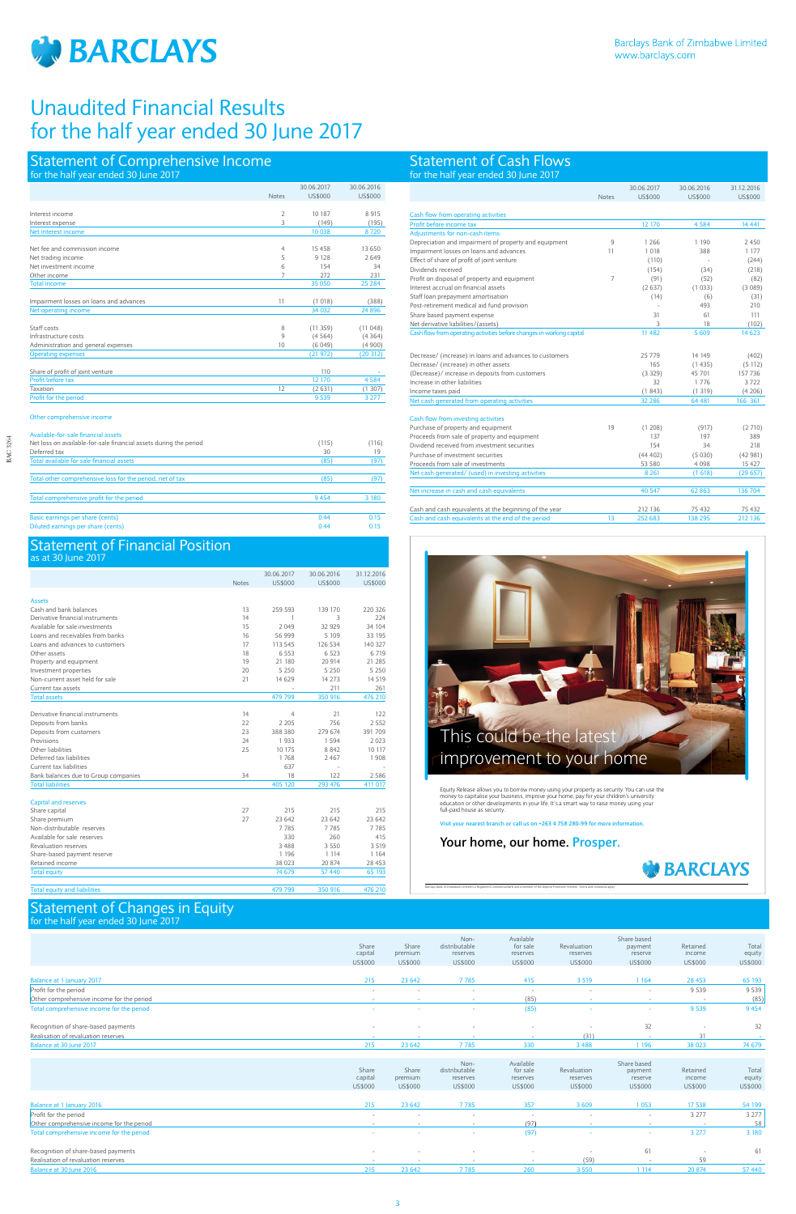

BAC 3264

BAC 3264

# Statement of Comprehensive Income

# Statement of Financial Position  $30 \text{ J}$

# Statement of Changes in Equity for the half year ended 30 June 2017

|                                      |              | 30.06.2017 | 30.06.2016 | 31.12.2016     |
|--------------------------------------|--------------|------------|------------|----------------|
|                                      | <b>Notes</b> | US\$000    | US\$000    | <b>US\$000</b> |
|                                      |              |            |            |                |
| <b>Assets</b>                        |              |            |            |                |
| Cash and bank balances               | 13           | 259 593    | 139 170    | 220 326        |
| Derivative financial instruments     | 14           | 1          | 3          | 224            |
| Available for sale investments       | 15           | 2049       | 32 9 29    | 34 104         |
| Loans and receivables from banks     | 16           | 56 999     | 5 1 0 9    | 33 195         |
| Loans and advances to customers      | 17           | 113 545    | 126 534    | 140 327        |
| Other assets                         | 18           | 6.553      | 6 5 2 3    | 6719           |
| Property and equipment               | 19           | 21 180     | 20 914     | 21 285         |
| Investment properties                | 20           | 5 2 5 0    | 5 2 5 0    | 5 2 5 0        |
| Non-current asset held for sale      | 21           | 14 629     | 14 27 3    | 14 5 19        |
| Current tax assets                   |              |            | 211        | 261            |
| <b>Total assets</b>                  |              | 479 799    | 350 916    | 476 210        |
|                                      |              |            |            |                |
| Derivative financial instruments     | 14           | 4          | 21         | 122            |
| Deposits from banks                  | 22           | 2 2 0 5    | 756        | 2552           |
| Deposits from customers              | 23           | 388 380    | 279 674    | 391 709        |
| Provisions                           | 24           | 1933       | 1594       | 2023           |
| Other liabilities                    | 25           | 10 175     | 8842       | 10 117         |
| Deferred tax liabilities             |              | 1768       | 2467       | 1908           |
| Current tax liabilities              |              | 637        |            |                |
| Bank balances due to Group companies | 34           | 18         | 122        | 2586           |
| <b>Total liabilities</b>             |              | 405 120    | 293 476    | 411 017        |
|                                      |              |            |            |                |
| <b>Capital and reserves</b>          |              |            |            |                |
| Share capital                        | 27           | 215        | 215        | 215            |
| Share premium                        | 27           | 23 642     | 23 642     | 23 642         |
| Non-distributable reserves           |              | 7785       | 7785       | 7785           |
| Available for sale reserves          |              | 330        | 260        | 415            |
| Revaluation reserves                 |              | 3488       | 3550       | 3 5 1 9        |
| Share-based payment reserve          |              | 1 1 9 6    | 1 1 1 4    | 1 1 6 4        |
| Retained income                      |              | 38 0 23    | 20 874     | 28 453         |
| <b>Total equity</b>                  |              | 74 679     | 57 440     | 65 193         |
|                                      |              |            |            |                |
| <b>Total equity and liabilities</b>  |              | 479 799    | 350 916    | 476 210        |

| <b>Statement of Cash Flows</b><br>for the half year ended 30 June 2017 |              |            |            |            |
|------------------------------------------------------------------------|--------------|------------|------------|------------|
|                                                                        |              | 30.06.2017 | 30.06.2016 | 31.12.2016 |
|                                                                        | <b>Notes</b> | US\$000    | US\$000    | US\$000    |
| Cash flow from operating activities                                    |              |            |            |            |
| Profit before income tax                                               |              | 12 170     | 4 5 8 4    | 14 4 41    |
| Adjustments for non-cash items:                                        |              |            |            |            |

Share capital Share premium Non-

distributable reserves

Available for sale reserves

Revaluation reserves

Share based payment reserve

Retained income

Total equity

|                                           | US\$000                            | US\$000                     | US\$000                                      | US\$000                                      | US\$000                            | US\$000                                      | US\$000                       | US\$000                    |
|-------------------------------------------|------------------------------------|-----------------------------|----------------------------------------------|----------------------------------------------|------------------------------------|----------------------------------------------|-------------------------------|----------------------------|
|                                           |                                    |                             |                                              |                                              |                                    |                                              |                               |                            |
| Balance at 1 January 2017                 | 215                                | 23 642                      | 7785                                         | 415                                          | 3 5 1 9                            | 1 1 6 4                                      | 28 4 53                       | 65 193                     |
| Profit for the period                     | $\sim$                             | $\overline{\phantom{a}}$    | $\overline{\phantom{a}}$                     | $\sim$                                       | $\sim$                             | $\sim$                                       | 9 5 3 9                       | 9 5 3 9                    |
| Other comprehensive income for the period |                                    |                             | $\sim$                                       | (85)                                         |                                    |                                              | $\sim$                        | (85)                       |
| Total comprehensive income for the period |                                    |                             | $\sim$                                       | (85)                                         |                                    |                                              | 9 5 3 9                       | 9 4 5 4                    |
| Recognition of share-based payments       | $\sim$                             |                             |                                              |                                              |                                    | 32                                           |                               | 32                         |
| Realisation of revaluation reserves       |                                    |                             | $\sim$                                       | $\sim$                                       | (31)                               |                                              | 31                            | <b>.</b>                   |
| Balance at 30 June 2017                   | 215                                | 23 642                      | 7785                                         | 330                                          | 3488                               | 1 196                                        | 38 023                        | 74 679                     |
|                                           |                                    |                             |                                              |                                              |                                    |                                              |                               |                            |
|                                           | Share<br>capital<br><b>US\$000</b> | Share<br>premium<br>US\$000 | Non-<br>distributable<br>reserves<br>US\$000 | Available<br>for sale<br>reserves<br>US\$000 | Revaluation<br>reserves<br>US\$000 | Share based<br>payment<br>reserve<br>US\$000 | Retained<br>income<br>US\$000 | Total<br>equity<br>US\$000 |
| Balance at 1 January 2016                 | 215                                | 23 642                      | 7785                                         | 357                                          | 3609                               | 1053                                         | 17 538                        | 54 199                     |
| Profit for the period                     | $\sim$                             | $\overline{\phantom{a}}$    | $\sim$                                       | $\sim$                                       | $\sim$                             | $\sim$                                       | 3 2 7 7                       | 3 2 7 7                    |
| Other comprehensive income for the period |                                    |                             |                                              | (97)                                         |                                    |                                              |                               | 58                         |
| Total comprehensive income for the period | <b>.</b>                           |                             | $\sim$                                       | (97)                                         |                                    | $\sim$                                       | 3 2 7 7                       | 3 1 8 0                    |
| Recognition of share-based payments       | $\sim$                             |                             |                                              |                                              |                                    | 61                                           | $\overline{\phantom{a}}$      | 61                         |
| Realisation of revaluation reserves       |                                    |                             |                                              |                                              | (59)                               |                                              | 59                            | $\overline{\phantom{a}}$   |
| Balance at 30 June 2016                   | 215                                | 23 642                      | 7785                                         | 260                                          | 3 5 5 0                            | 1 1 1 4                                      | 20 874                        | 57 440                     |

|                                         |                | 30.06.2017 | 30.06.2016     |
|-----------------------------------------|----------------|------------|----------------|
|                                         | <b>Notes</b>   | US\$000    | <b>US\$000</b> |
| Interest income                         |                | 10 187     | 8915           |
|                                         | 2<br>3         |            |                |
| Interest expense                        |                | (149)      | (195)          |
| Net interest income                     |                | 10 038     | 8720           |
| Net fee and commission income           | $\overline{4}$ | 15 4 5 8   | 13 650         |
| Net trading income                      | 5              | 9 1 2 8    | 2649           |
| Net investment income                   | 6              | 154        | 34             |
| Other income                            | 7              | 272        | 231            |
| <b>Total income</b>                     |                | 35 050     | 25 284         |
| Impairment losses on loans and advances | 11             | (1018)     | (388)          |
| Net operating income                    |                | 34 0 32    | 24 896         |
| Staff costs                             | 8              | (11359)    | (11048)        |
| Infrastructure costs                    | 9              | (4564)     | (4364)         |
| Administration and general expenses     | 10             | (6049)     | (4900)         |
| <b>Operating expenses</b>               |                | (21972)    | (20312)        |
| Share of profit of joint venture        |                | 110        |                |
| Profit before tax                       |                | 12 170     | 4584           |
| Taxation                                | 12             | (2631)     | (1307)         |
| Profit for the period                   |                | 9 5 3 9    | 3 2 7 7        |

| Aujustinents for non-cash items:                                      |                |         |         |         |
|-----------------------------------------------------------------------|----------------|---------|---------|---------|
| Depreciation and impairment of property and equipment                 | $\mathsf{Q}$   | 1 2 6 6 | 1 1 9 0 | 2450    |
| Impairment losses on loans and advances                               | 11             | 1 0 1 8 | 388     | 1 177   |
| Effect of share of profit of joint venture                            |                | (110)   | ÷       | (244)   |
| Dividends received                                                    |                | (154)   | (34)    | (218)   |
| Profit on disposal of property and equipment                          | $\overline{7}$ | (91)    | (52)    | (82)    |
| Interest accrual on financial assets                                  |                | (2637)  | (1033)  | (3089)  |
| Staff loan prepayment amortisation                                    |                | (14)    | (6)     | (31)    |
| Post-retirement medical aid fund provision                            |                | i.      | 493     | 210     |
| Share based payment expense                                           |                | 31      | 61      | 111     |
| Net derivative liabilities/(assets)                                   |                | 3       | 18      | (102)   |
| Cash flow from operating activities before changes in working capital |                | 11 482  | 5 6 0 9 | 14 623  |
|                                                                       |                |         |         |         |
| Decrease/ (increase) in loans and advances to customers               |                | 25779   | 14 14 9 | (402)   |
| Decrease/ (increase) in other assets                                  |                | 165     | (1435)  | (5112)  |
| (Decrease)/ increase in deposits from customers                       |                | (3329)  | 45 701  | 157 736 |
| Increase in other liabilities                                         |                | 32      | 1776    | 3722    |
| Income taxes paid                                                     |                | (1843)  | (1319)  | (4206)  |
| Net cash generated from operating activities                          |                | 32 28 6 | 64 481  | 166 361 |
| Cash flow from investing activities                                   |                |         |         |         |
| Purchase of property and equipment                                    | 19             | (1 208) | (917)   | (2710)  |
| Proceeds from sale of property and equipment                          |                | 137     | 197     | 389     |
| Dividend received from investment securities                          |                | 154     | 34      | 218     |
| Purchase of investment securities                                     |                | (44402) | (5030)  | (42981) |
| Proceeds from sale of investments                                     |                | 53 580  | 4098    | 15 427  |
| Net cash generated/ (used) in investing activities                    |                | 8 2 6 1 | (1618)  | (29657) |
|                                                                       |                |         |         |         |
| Net increase in cash and cash equivalents                             |                | 40 547  | 62863   | 136 704 |
| Cash and cash equivalents at the beginning of the year                |                | 212 136 | 75 432  | 75 432  |
| Cash and cash equivalents at the end of the period                    | 13             | 252 683 | 138 295 | 212 136 |
|                                                                       |                |         |         |         |

Barclays Bank of Zimbabwe Limited is a Registered Commercial Bank and a member of the Deposit Protection Scheme. Terms and conditions apply.



# **Your home, our home. Prosper.**



Equity Release allows you to borrow money using your property as security. You can use the<br>money to capitalise your business, improve your home, pay for your children's university<br>education or other developments in your li

Visit your nearest branch or call us on +263 4 758 280-99 for more infor

| Available-for-sale financial assets                               |       |       |
|-------------------------------------------------------------------|-------|-------|
| Net loss on available-for-sale financial assets during the period | (115) | (116) |
| Deferred tax                                                      | 30    | 19    |
| Total available for sale financial assets                         | (85)  | (97)  |
| Total other comprehensive loss for the period, net of tax         | (85)  | (97)  |
| Total comprehensive profit for the period                         | 9454  | 3 180 |
| Basic earnings per share (cents)                                  | 0.44  | 0.15  |
| Diluted earnings per share (cents)                                | 0.44  | 0.15  |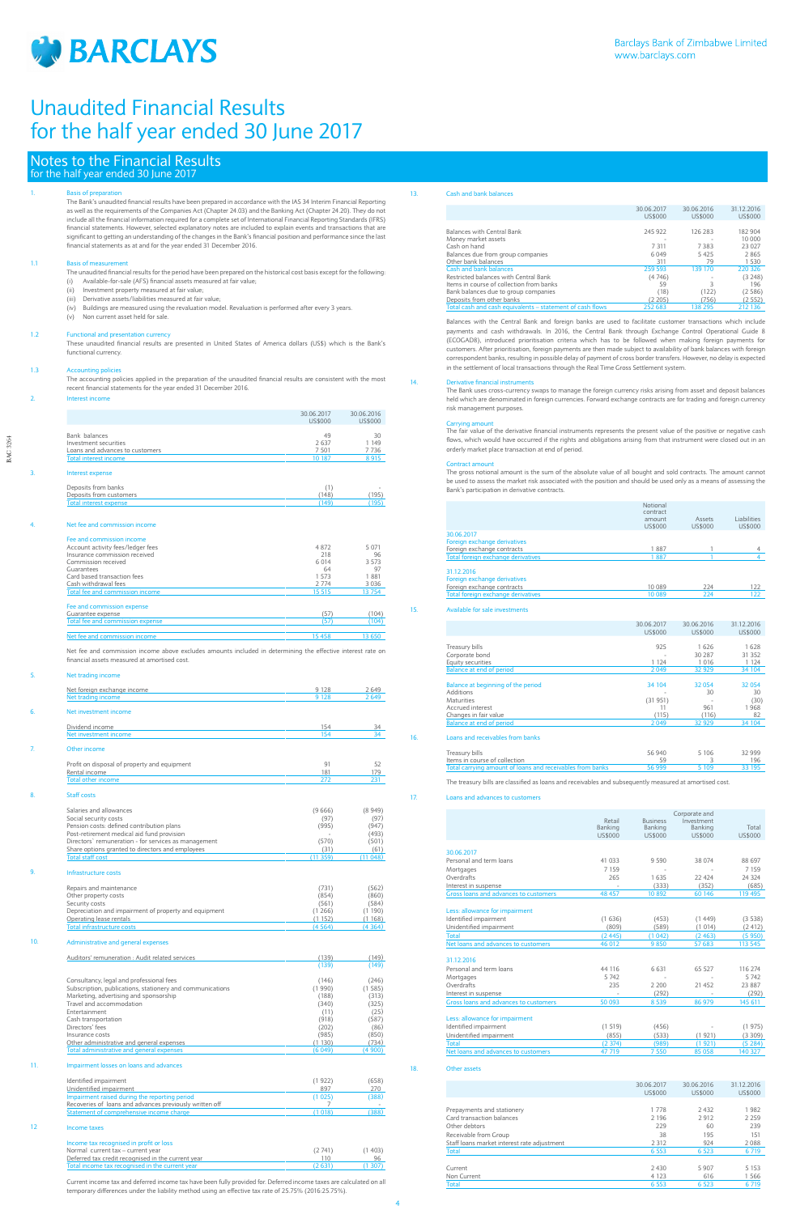

BAC 3264

**BAC 3264** 

# Notes to the Financial Results for the half year ended 30 June 2017

## 1. Basis of preparation

The Bank's unaudited financial results have been prepared in accordance with the IAS 34 Interim Financial Reporting as well as the requirements of the Companies Act (Chapter 24.03) and the Banking Act (Chapter 24.20). They do not include all the financial information required for a complete set of International Financial Reporting Standards (IFRS) financial statements. However, selected explanatory notes are included to explain events and transactions that are significant to getting an understanding of the changes in the Bank's financial position and performance since the last financial statements as at and for the year ended 31 December 2016.

#### 1.1 Basis of measurement

- The unaudited financial results for the period have been prepared on the historical cost basis except for the following:
- (i) Available-for-sale (AFS) financial assets measured at fair value;
- (ii) Investment property measured at fair value;
- (iii) Derivative assets/liabilities measured at fair value;
- (iv) Buildings are measured using the revaluation model. Revaluation is performed after every 3 years.
- (v) Non current asset held for sale.

### 1.2 Functional and presentation currency

These unaudited financial results are presented in United States of America dollars (US\$) which is the Bank's functional currency.

## 1.3 Accounting policies

The accounting policies applied in the preparation of the unaudited financial results are consistent with the most recent financial statements for the year ended 31 December 2016.

#### 2. Interest income

# Net trading income Net foreign exchange income 2649 Net trading income 2 649 Net investment incom Dividend income 154 34 Net investment income 154 34 **Other income** Profit on disposal of property and equipment 91 52 **Rental income 181 179** 179 Total other income 272 231 Staff costs Salaries and allowances (9 666) (8 949)<br>
Social security costs<br>
Pension costs: defined contribution plans (97) (97) (97) (947)<br>
(947) (949) Social security costs (97) (97) Pension costs: defined contribution plans (995) (947) Post-retirement medical aid fund provision - (493) Directors` remuneration - for services as management (570) (501) Post-retirement medical aid fund provision<br>
Post-retirement medical aid fund provision<br>
Directors' remuneration - for services as management (570) (501)<br>
Share options granted to directors and employees (31) (61)<br>
Total st Total staff cost (11 359) (11 048) 9. Infrastructure costs Repairs and maintenance (731) (562)<br>Other property costs (854) (860)<br>Security costs (564) (584) (584) Other property costs Security costs (584)<br>
Depreciation and impairment of property and equipment (1884)<br>
(190) (190) (190) Depreciation and impairment of property and equipment Operating lease rentals (1 152) (1 168)<br>
Total infrastructure costs (4 364) (4 364) (4 364) Total infrastructure costs (4 564) (4 364) 10. Administrative and general expenses

| ,  |                                   |            |            |
|----|-----------------------------------|------------|------------|
|    |                                   | 30.06.2017 | 30.06.2016 |
|    |                                   | US\$000    | US\$000    |
|    | Bank balances                     | 49         | 30         |
|    | Investment securities             | 2637       | 1 1 4 9    |
|    | Loans and advances to customers   | 7 5 0 1    | 7736       |
|    | <b>Total interest income</b>      | 10 187     | 8915       |
| 3. | Interest expense                  |            |            |
|    | Deposits from banks               | (1)        |            |
|    | Deposits from customers           | (148)      | (195)      |
|    | <b>Total interest expense</b>     | (149)      | (195)      |
|    |                                   |            |            |
| 4. | Net fee and commission income     |            |            |
|    | Fee and commission income         |            |            |
|    | Account activity fees/ledger fees | 4872       | 5 0 7 1    |
|    | Insurance commission received     | 218        | 96         |
|    | Commission received               | 6 0 14     | 3.573      |
|    | Guarantees                        | 64         | 97         |
|    | Card based transaction fees       | 1.573      | 1881       |
|    | Cash withdrawal fees              | 2 7 7 4    | 3 0 3 6    |
|    | Total fee and commission income   | 15 5 15    | 13754      |
|    | Fee and commission expense        |            |            |
|    | Guarantee expense                 | (57)       | (104)      |
|    | Total fee and commission expense  | (57)       | (104)      |
|    | Net fee and commission income     | 15 4 58    | 13 650     |

Net fee and commission income above excludes amounts included in determining the effective interest rate on financial assets measured at amortised cost.

Auditors' remuneration : Audit related services (139) (149) (139) (149)

| Consultancy, legal and professional fees                  | (146)  | (246)  |
|-----------------------------------------------------------|--------|--------|
| Subscription, publications, stationery and communications | (1990) | (1585) |
| Marketing, advertising and sponsorship                    | (188)  | (313)  |
| Travel and accommodation                                  | (340)  | (325)  |
| Entertainment                                             | (11)   | (25)   |
| Cash transportation                                       | (918)  | (587)  |
| Directors' fees                                           | (202)  | (86)   |
| Insurance costs                                           | (985)  | (850)  |
| Other administrative and general expenses                 | (1130) | (734)  |
| Total administrative and general expenses                 | (6049) | (4900) |

### 11. Impairment losses on loans and advances

| Identified impairment                                   | (1922)  | (658) |
|---------------------------------------------------------|---------|-------|
| Unidentified impairment                                 | 897     | 270   |
| Impairment raised during the reporting period           | (1025)  | (388) |
| Recoveries of Joans and advances previously written off |         |       |
| Statement of comprehensive income charge                | (1.018) | (388) |

# 12 Income taxes

# Income tax recognised in profit or loss

| Normal current tax - current year                  | (2741)  | (1403) |
|----------------------------------------------------|---------|--------|
| Deferred tax credit recognised in the current year |         | 96     |
| Total income tax recognised in the current year    | (2.631) | '1307. |

Current income tax and deferred income tax have been fully provided for. Deferred income taxes are calculated on all temporary differences under the liability method using an effective tax rate of 25.75% (2016:25.75%).

# 13. Cash and bank balances

|                                                           | 30.06.2017 | 30.06.2016 | 31.12.2016 |
|-----------------------------------------------------------|------------|------------|------------|
|                                                           | US\$000    | US\$000    | US\$000    |
|                                                           |            |            |            |
| <b>Balances with Central Bank</b>                         | 245 922    | 126 283    | 182 904    |
| Money market assets                                       |            |            | 10 000     |
| Cash on hand                                              | 7311       | 7383       | 23 027     |
| Balances due from group companies                         | 6 0 4 9    | 5425       | 2865       |
| Other bank balances                                       | 311        | 79         | 1 5 3 0    |
| Cash and bank balances                                    | 259 593    | 139 170    | 220 326    |
| Restricted balances with Central Bank                     | (4746)     |            | (3248)     |
| Items in course of collection from banks                  | 59         | 3          | 196        |
| Bank balances due to group companies                      | (18)       | (122)      | (2586)     |
| Deposits from other banks                                 | (2205)     | (756)      | (2552)     |
| Total cash and cash equivalents – statement of cash flows | 252 683    | 138 295    | 212 136    |

Balances with the Central Bank and foreign banks are used to facilitate customer transactions which include payments and cash withdrawals. In 2016, the Central Bank through Exchange Control Operational Guide 8 (ECOGAD8), introduced prioritisation criteria which has to be followed when making foreign payments for customers. After prioritisation, foreign payments are then made subject to availability of bank balances with foreign correspondent banks, resulting in possible delay of payment of cross border transfers. However, no delay is expected in the settlement of local transactions through the Real Time Gross Settlement system.

#### 14. Derivative financial instruments

The Bank uses cross-currency swaps to manage the foreign currency risks arising from asset and deposit balances held which are denominated in foreign currencies. Forward exchange contracts are for trading and foreign currency risk management purposes.

Carrying amount The fair value of the derivative financial instruments represents the present value of the positive or negative cash flows, which would have occurred if the rights and obligations arising from that instrument were closed out in an orderly market place transaction at end of period.

#### Contract amount

The gross notional amount is the sum of the absolute value of all bought and sold contracts. The amount cannot be used to assess the market risk associated with the position and should be used only as a means of assessing the Bank's participation in derivative contracts.

|                                    | Notional<br>contract<br>amount | Assets  | <b>Liabilities</b> |
|------------------------------------|--------------------------------|---------|--------------------|
|                                    | US\$000                        | US\$000 | US\$000            |
| 30.06.2017                         |                                |         |                    |
| Foreign exchange derivatives       |                                |         |                    |
| Foreign exchange contracts         | 1887                           |         | 4                  |
| Total foreign exchange derivatives | 1887                           |         |                    |
| 31.12.2016                         |                                |         |                    |
| Foreign exchange derivatives       |                                |         |                    |
| Foreign exchange contracts         | 10 089                         | 224     | 122                |
| Total foreign exchange derivatives | 10 089                         | 224     | 122                |

# 15. Available for sale investments

|                                    | 30.06.2017     | 30.06.2016 | 31.12.2016     |
|------------------------------------|----------------|------------|----------------|
|                                    | <b>US\$000</b> | US\$000    | <b>US\$000</b> |
|                                    |                |            |                |
| Treasury bills                     | 925            | 1626       | 1628           |
| Corporate bond                     |                | 30 287     | 31 352         |
| Equity securities                  | 1 1 2 4        | 1 0 1 6    | 1 1 2 4        |
| <b>Balance at end of period</b>    | 2 0 4 9        | 32 929     | 34 104         |
| Balance at beginning of the period | 34 104         | 32 054     | 32 0 54        |
| <b>Additions</b>                   |                | 30         | 30             |
| <b>Maturities</b>                  | (31951)        |            | (30)           |
| Accrued interest                   | 11             | 961        | 1968           |
| Changes in fair value              | (115)          | (116)      | 82             |
| <b>Balance at end of period</b>    | 2 0 4 9        | 32 9 29    | 34 104         |
| Loans and receivables from banks   |                |            |                |
| Treasury bills                     | 56 940         | 5 1 0 6    | 32 999         |
| Items in course of collection      | 59             | 3          | 196            |

The treasury bills are classified as loans and receivables and subsequently measured at amortised cost.

tal carrying amount of loans and receivables from banks

17. Loans and advances to customers

|                                                         | Retail           | <b>Business</b> | Corporate and<br>Investment |         |
|---------------------------------------------------------|------------------|-----------------|-----------------------------|---------|
|                                                         | Banking          | Banking         | Banking                     | Total   |
|                                                         | <b>US\$000</b>   | <b>US\$000</b>  | US\$000                     | US\$000 |
|                                                         |                  |                 |                             |         |
| 30.06.2017                                              |                  |                 |                             |         |
| Personal and term loans                                 | 41 033           | 9590            | 38 074                      | 88 697  |
| Mortgages                                               | 7 1 5 9          |                 |                             | 7 1 5 9 |
| Overdrafts                                              | 265              | 1635            | 22 4 24                     | 24 324  |
| Interest in suspense                                    |                  | (333)           | (352)                       | (685)   |
| Gross loans and advances to customers                   | 48 457           | 10892           | 60 146                      | 119 495 |
|                                                         |                  |                 |                             |         |
| Less: allowance for impairment<br>Identified impairment | (1636)           |                 |                             |         |
|                                                         |                  | (453)           | (1449)                      | (3538)  |
| Unidentified impairment                                 | (809)            | (589)           | (1014)                      | (2412)  |
| <b>Total</b><br>Net loans and advances to customers     | (2445)<br>46 012 | (1042)<br>9850  | (2463)                      | (5950)  |
|                                                         |                  |                 | 57 683                      | 113 545 |
| 31.12.2016                                              |                  |                 |                             |         |
| Personal and term loans                                 | 44 116           | 6631            | 65 527                      | 116 274 |
| Mortgages                                               | 5742             |                 |                             | 5 7 4 2 |
| Overdrafts                                              | 235              | 2 2 0 0         | 21 452                      | 23 887  |
| Interest in suspense                                    |                  | (292)           |                             | (292)   |
| Gross loans and advances to customers                   | 50 093           | 8539            | 86 979                      | 145 611 |
|                                                         |                  |                 |                             |         |
| Less: allowance for impairment<br>Identified impairment | (1519)           |                 |                             | (1975)  |
|                                                         |                  | (456)           |                             |         |
| Unidentified impairment<br><b>Total</b>                 | (855)            | (533)           | (1921)                      | (3309)  |
| Net loans and advances to customers                     | (2374)           | (989)           | (1 921)                     | (5284)  |
|                                                         | 47 719           | 7550            | 85 058                      | 140 327 |

## 18. Other assets

|                                             | 30.06.2017 | 30.06.2016 | 31.12.2016     |
|---------------------------------------------|------------|------------|----------------|
|                                             | US\$000    | US\$000    | <b>US\$000</b> |
|                                             |            |            |                |
| Prepayments and stationery                  | 1778       | 2432       | 1982           |
| Card transaction balances                   | 2 1 9 6    | 2912       | 2 2 5 9        |
| Other debtors                               | 229        | 60         | 239            |
| Receivable from Group                       | 38         | 195        | 151            |
| Staff loans market interest rate adjustment | 2 3 1 2    | 924        | 2088           |
| <b>Total</b>                                | 6 5 5 3    | 6 5 2 3    | 6719           |
|                                             |            |            |                |
| Current                                     | 2 4 3 0    | 5907       | 5 1 5 3        |
| Non Current                                 | 4 1 2 3    | 616        | 1566           |
| <b>Total</b>                                | 6 5 5 3    | 6 5 23     | 6719           |
|                                             |            |            |                |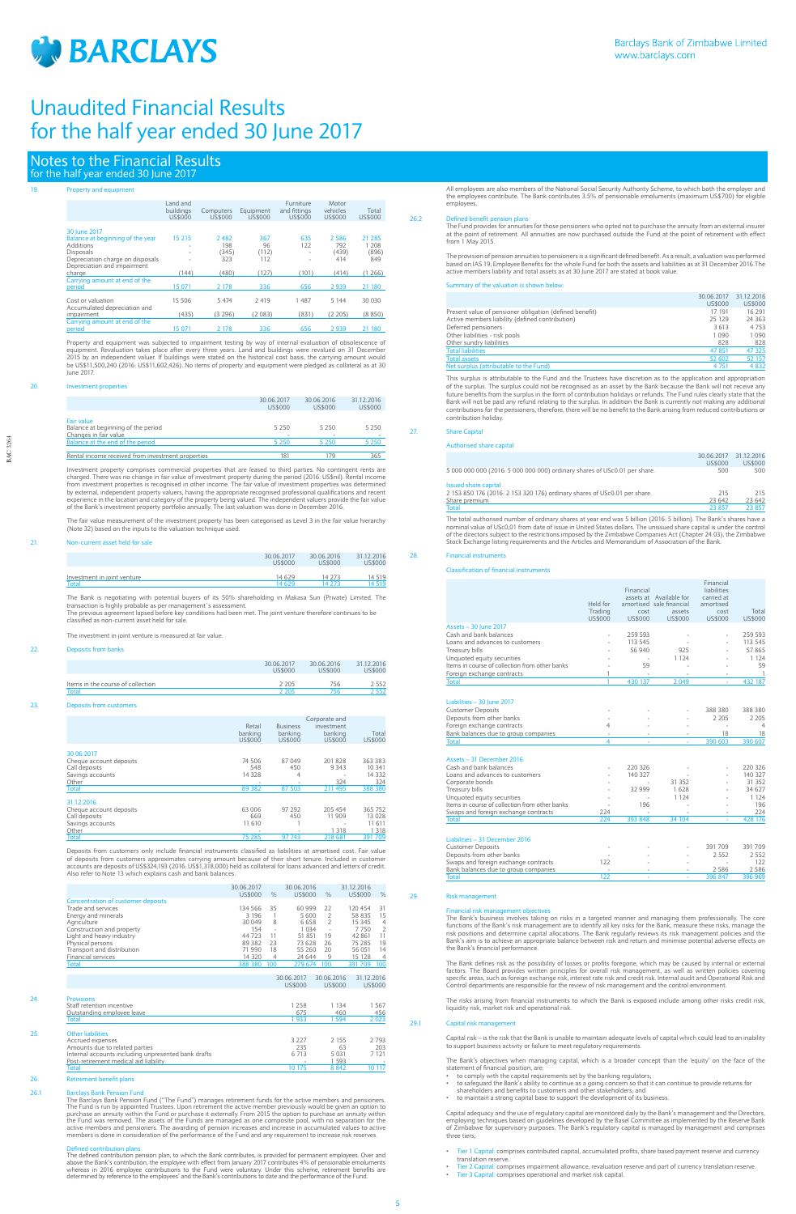

# Notes to the Financial Results for the half year ended 30 June 2017

# Property and equipment

|                                                                 | Land and<br>buildings<br>US\$000 | Computers<br>US\$000 | Equipment<br>US\$000 | Furniture<br>and fittings<br>US\$000 | Motor<br>vehicles<br>US\$000 | Total<br>US\$000 |
|-----------------------------------------------------------------|----------------------------------|----------------------|----------------------|--------------------------------------|------------------------------|------------------|
|                                                                 |                                  |                      |                      |                                      |                              |                  |
| 30 June 2017                                                    |                                  |                      |                      |                                      |                              |                  |
| Balance at beginning of the year                                | 15 215                           | 2482                 | 367                  | 635                                  | 2.586                        | 21 285           |
| <b>Additions</b>                                                |                                  | 198                  | 96                   | 122                                  | 792                          | 1 208            |
| <b>Disposals</b>                                                | ٠                                | (345)<br>323         | (112)<br>112         |                                      | (439)<br>414                 | (896)<br>849     |
| Depreciation charge on disposals<br>Depreciation and impairment |                                  |                      |                      | $\overline{\phantom{a}}$             |                              |                  |
| charge                                                          | (144)                            | (480)                | (127)                | (101)                                | (414)                        | (1266)           |
| Carrying amount at end of the                                   |                                  |                      |                      |                                      |                              |                  |
| period                                                          | 15 071                           | 2 1 7 8              | 336                  | 656                                  | 2939                         | 21 180           |
|                                                                 |                                  |                      |                      |                                      |                              |                  |
| Cost or valuation                                               | 15 506                           | 5 4 7 4              | 2419                 | 1487                                 | 5 1 4 4                      | 30 030           |
| Accumulated depreciation and                                    |                                  |                      |                      |                                      |                              |                  |
| impairment                                                      | (435)                            | (3296)               | (2083)               | (831)                                | (2, 205)                     | (8850)           |
| Carrying amount at end of the                                   |                                  |                      |                      |                                      |                              |                  |
| period                                                          | 15 071                           | 2 1 7 8              | 336                  | 656                                  | 2 9 3 9                      | 21 180           |
|                                                                 |                                  |                      |                      |                                      |                              |                  |

Property and equipment was subjected to impairment testing by way of internal evaluation of obsolescence of<br>equipment. Revaluation takes place after every three years. Land and buildings were revalued on 31 December<br>2015 b be US\$11,500,240 (2016: US\$11,602,426). No items of property and equipment were pledged as collateral as at 30 June 2017.

### 20. Investment properties

|                                                   | 30.06.2017<br>US\$000 | 30.06.2016<br>US\$000 | 31.12.2016<br>US\$000 |
|---------------------------------------------------|-----------------------|-----------------------|-----------------------|
| Fair value                                        |                       |                       |                       |
| Balance at beginning of the period                | 5 2 5 0               | 5 2 5 0               | 5 2 5 0               |
| Changes in fair value                             |                       |                       |                       |
| Balance at the end of the period                  | 5 2 5 0               | 5 2 5 0               | 5 2 5 0               |
|                                                   |                       |                       |                       |
| Rental income received from investment properties | 181                   | 179                   | 365                   |

Deposits from customers only include financial instruments classified as liabilities at amortised cost. Fair value of deposits from customers approximates carrying amount because of their short tenure. Included in customer<br>accounts are deposits of US\$324,193 (2016: US\$1,318,000) held as collateral for loans advanced and letters of cred

Investment property comprises commercial properties that are leased to third parties. No contingent rents are charged. There was no change in fair value of investment property during the period (2016: US\$nil). Rental income<br>from investment properties is recognised in other income. The fair value of investment properties was determ experience in the location and category of the property being valued. The independent valuers provide the fair value of the Bank's investment property portfolio annually. The last valuation was done in December 2016.

The fair value measurement of the investment property has been categorised as Level 3 in the fair value hierarchy (Note 32) based on the inputs to the valuation technique used.

## 21. Non-current asset held for sale

|                             | 30.06.2017<br>US\$000 | 30.06.2016<br>US\$000 | 31.12.2016<br><b>US\$000</b> |
|-----------------------------|-----------------------|-----------------------|------------------------------|
| Investment in joint venture | 14 629                | 14 273                | 14 519                       |
| Total                       | 14 629                | 14 273                | 14 519                       |

The Bank is negotiating with potential buyers of its 50% shareholding in Makasa Sun (Private) Limited. The transaction is highly probable as per management`s assessment. The previous agreement lapsed before key conditions had been met. The joint venture therefore continues to be classified as non-current asset held for sale.

The investment in joint venture is measured at fair value.

### 22. Deposits from banks

|                                   | 30.06.2017<br><b>US\$000</b> | 30.06.2016<br><b>US\$000</b> | 31.12.2016<br>US\$000 |
|-----------------------------------|------------------------------|------------------------------|-----------------------|
| Items in the course of collection | 2.205                        | 756                          | 2552                  |
| Total                             | 2.205                        |                              | 2552                  |

23. Deposits from customers

Defined contribution plans<br>The defined contribution pension plan, to which the Bank contributes, is provided for permanent employees. Over and<br>above the Bank's contribution, the employee with effect from January 2017 contr whereas in 2016 employee contributions to the Fund were voluntary. Under this scheme, retirement benefits are determined by reference to the employees' and the Bank's contributions to date and the performance of the Fund.

The Fund provides for annuities for those pensioners who opted not to purchase the annuity from an external insurer<br>at the point of retirement. All annuities are now purchased outside the Fund at the point of retirement wi from 1 May 2015.

|                         | Retail<br>banking<br>US\$000 | <b>Business</b><br>banking<br><b>US\$000</b> | Corporate and<br>investment<br>banking<br><b>US\$000</b> | Total<br><b>US\$000</b> |
|-------------------------|------------------------------|----------------------------------------------|----------------------------------------------------------|-------------------------|
| 30.06.2017              |                              |                                              |                                                          |                         |
| Cheque account deposits | 74 506                       | 87 049                                       | 201828                                                   | 363 383                 |
| Call deposits           | 548                          | 450                                          | 9343                                                     | 10 341                  |
| Savings accounts        | 14 3 28                      | 4                                            |                                                          | 14 3 3 2                |
| Other                   |                              | ٠                                            | 324                                                      | 324                     |
| <b>Total</b>            | 89 3 82                      | 87 503                                       | 211 495                                                  | 388 380                 |
| 31.12.2016              |                              |                                              |                                                          |                         |
| Cheque account deposits | 63 006                       | 97 292                                       | 205 454                                                  | 365 752                 |
| Call deposits           | 669                          | 450                                          | 11 909                                                   | 13028                   |
| Savings accounts        | 11 610                       |                                              |                                                          | 11 611                  |
| Other                   | ۰                            | ۰                                            | 1 3 1 8                                                  | 1 3 1 8                 |
| Total                   | 75 285                       | 97 743                                       | 218 681                                                  | 391 709                 |

|                                           | 30.06.2017<br>US\$000 | $\frac{0}{6}$            | 30.06.2016<br>US\$000 | $\frac{0}{6}$ | 31.12.2016<br>US\$000 | %              |
|-------------------------------------------|-----------------------|--------------------------|-----------------------|---------------|-----------------------|----------------|
| <b>Concentration of customer deposits</b> |                       |                          |                       |               |                       |                |
| Trade and services                        | 134 566               | 35                       | 60 999                | 22            | 120 454               | 31             |
| Energy and minerals                       | 3 1 9 6               |                          | 5600                  | 2             | 58 835                | 15             |
| Agriculture                               | 30 049                | 8                        | 6658                  | 2             | 15 345                | 4              |
| Construction and property                 | 154                   | $\overline{\phantom{a}}$ | 1 0 3 4               | ٠             | 7750                  | $\overline{2}$ |
| Light and heavy industry                  | 44 723                | 11                       | 51 851                | 19            | 42 861                | 11             |
| Physical persons                          | 89 3 82               | 23                       | 73 628                | 26            | 75 285                | 19             |
| Transport and distribution                | 71 990                | 18                       | 55 260                | 20            | 56 051                | 14             |
| Financial services                        | 14 320                |                          | 24 644                | 9             | 15 128                | 4              |

The total authorised number of ordinary shares at year end was 5 billion (2016: 5 billion). The Bank's shares have a<br>nominal value of USc0,01 from date of issue in United States dollars. The unissued share capital is under of the directors subject to the restrictions imposed by the Zimbabwe Companies Act (Chapter 24.03), the Zimbabwe Stock Exchange listing requirements and the Articles and Memorandum of Association of the Bank.

| Tota. | 388 380 100 | 279 674 100 | 100 709 <sup>ומר</sup> |  |
|-------|-------------|-------------|------------------------|--|
|       |             |             |                        |  |

|     |                                                                                                       | 30.06.2017<br>US\$000       | 30.06.2016<br>US\$000    | 31.12.2016<br><b>US\$000</b> |
|-----|-------------------------------------------------------------------------------------------------------|-----------------------------|--------------------------|------------------------------|
| 24. | <b>Provisions</b><br>Staff retention incentive                                                        | 1 2 5 8                     | 1 1 3 4                  | 1567                         |
|     | Outstanding employee leave<br><b>Total</b>                                                            | 675<br>933                  | 460<br>594               | 456<br>2023                  |
| 25. | <b>Other liabilities</b><br>Accrued expenses<br>Amounts due to related parties                        | 3 2 2 7<br>235              | 2 1 5 5<br>63            | 2793<br>203                  |
|     | Internal accounts including unpresented bank drafts<br>Post-retirement medical aid liability<br>Total | 6 7 1 3<br>$\sim$<br>10 175 | 5 0 3 1<br>1 593<br>8842 | 7 1 2 1<br>10.               |

#### 26. Retirement benefit plans

## 26.1 Barclays Bank Pension Fund

The Barclays Bank Pension Fund ("The Fund") manages retirement funds for the active members and pensioners. The Fund is run by appointed Trustees. Upon retirement the active member previously would be given an option to<br>purchase an annuity within the Fund or purchase it externally. From 2015 the option to purchase an annuity wit active members and pensioners. The awarding of pension increases and increase in accumulated values to active members is done in consideration of the performance of the Fund and any requirement to increase risk reserves.

Thes risk as the possibility of losses or profits foregone, which may be caused by internal or externa factors. The Board provides written principles for overall risk management, as well as written policies covering specific areas, such as foreign exchange risk, interest rate risk and credit risk. Internal audit and Operational Risk and Control departments are responsible for the review of risk management and the control environment.

All employees are also members of the National Social Security Authority Scheme, to which both the employer and the employees contribute. The Bank contributes 3.5% of pensionable emoluments (maximum US\$700) for eligible employees.

#### 26.2 Defined benefit pension plans

The provision of pension annuities to pensioners is a significant defined benefit. As a result, a valuation was performed based on IAS 19; Employee Benefits for the whole Fund for both the assets and liabilities as at 31 December 2016.The active members liability and total assets as at 30 June 2017 are stated at book value.

Summary of the valuation is shown below:

30.06.2017 31.12.2016

|                                                         | US\$000 | <b>US\$000</b> |
|---------------------------------------------------------|---------|----------------|
| Present value of pensioner obligation (defined benefit) | 17 191  | 16 291         |
| Active members liability (defined contribution)         | 25 1 29 | 24 3 6 3       |
| Deferred pensioners                                     | 3 6 1 3 | 4 7 5 3        |
| Other liabilities - risk pools                          | 1090    | 1090           |
| Other sundry liabilities                                | 828     | 828            |
| <b>Total liabilities</b>                                | 47 851  | 47 325         |
| <b>Total assets</b>                                     | 52 602  | 52 157         |
| Net surplus (attributable to the Fund)                  | 4 7 5 1 | 4 8 3 2        |

This surplus is attributable to the Fund and the Trustees have discretion as to the application and appropriation of the surplus. The surplus could not be recognised as an asset by the Bank because the Bank will not receive any future benefits from the surplus in the form of contribution holidays or refunds. The Fund rules clearly state that the<br>Bank will not be paid any refund relating to the surplus. In addition the Bank is currently not making contributions for the pensioners, therefore, there will be no benefit to the Bank arising from reduced contributions or contribution holiday.

## 27. Share Capital

Authorised share capital

|                                                                           | 30.06.2017 | 31.12.2016     |
|---------------------------------------------------------------------------|------------|----------------|
|                                                                           | US\$000    | <b>US\$000</b> |
| 5 000 000 000 (2016: 5 000 000 000) ordinary shares of USc0.01 per share. | 500        | 500            |
| <b>Issued share capital</b>                                               |            |                |
| 2 153 850 176 (2016: 2 153 320 176) ordinary shares of USc0.01 per share. | 215        | 215            |
| Share premium                                                             | 23 642     | 23 642         |
| Total                                                                     | 23 857     | 23 857         |

#### 28. Financial instruments

Classification of financial instruments

|                                                | Held for<br>Trading<br><b>US\$000</b> | Financial<br>cost<br>US\$000 | assets at Available for<br>amortised sale financial<br>assets<br><b>US\$000</b> | Financial<br>liabilities<br>carried at<br>amortised<br>cost<br><b>US\$000</b> | Total<br>US\$000 |
|------------------------------------------------|---------------------------------------|------------------------------|---------------------------------------------------------------------------------|-------------------------------------------------------------------------------|------------------|
| <b>Assets - 30 June 2017</b>                   |                                       |                              |                                                                                 |                                                                               |                  |
| Cash and bank balances                         |                                       | 259 593                      |                                                                                 |                                                                               | 259 593          |
| Loans and advances to customers                |                                       | 113 545                      |                                                                                 |                                                                               | 113 545          |
| Treasury bills                                 |                                       | 56 940                       | 925                                                                             |                                                                               | 57865            |
| Unquoted equity securities                     |                                       |                              | 1 1 2 4                                                                         |                                                                               | 1 1 2 4          |
| Items in course of collection from other banks |                                       | 59                           |                                                                                 |                                                                               | 59               |
| Foreign exchange contracts                     | 1                                     |                              |                                                                                 |                                                                               | $\overline{1}$   |
| Total                                          |                                       | 430 137                      | 2049                                                                            |                                                                               | 432 187          |
| Liabilities - 30 June 2017                     |                                       |                              |                                                                                 |                                                                               |                  |
| <b>Customer Deposits</b>                       |                                       |                              |                                                                                 | 388 380                                                                       | 388 380          |
| Deposits from other banks                      |                                       |                              |                                                                                 | 2 2 0 5                                                                       | 2 2 0 5          |
| Foreign exchange contracts                     | 4                                     |                              |                                                                                 |                                                                               | 4                |
| Bank balances due to group companies           | ٠                                     |                              |                                                                                 | 18                                                                            | 18               |
| <b>Total</b>                                   | 4                                     |                              |                                                                                 | 390 603                                                                       | 390 607          |
|                                                |                                       |                              |                                                                                 |                                                                               |                  |
| Assets - 31 December 2016                      |                                       |                              |                                                                                 |                                                                               |                  |
| Cash and bank balances                         |                                       | 220 326                      |                                                                                 |                                                                               | 220 326          |
| Loans and advances to customers                |                                       | 140 327                      |                                                                                 |                                                                               | 140 327          |
| Corporate bonds                                |                                       |                              | 31 352                                                                          |                                                                               | 31 352           |
| Treasury bills                                 |                                       | 32 999                       | 1628                                                                            |                                                                               | 34 627           |
| Unquoted equity securities                     |                                       |                              | 1 1 2 4                                                                         |                                                                               | 1 1 2 4          |
| Items in course of collection from other banks |                                       | 196                          |                                                                                 |                                                                               | 196              |
| Swaps and foreign exchange contracts           | 224                                   |                              |                                                                                 |                                                                               | 224              |
| <b>Total</b>                                   | 224                                   | 393 848                      | 34 104                                                                          |                                                                               | 428 176          |
|                                                |                                       |                              |                                                                                 |                                                                               |                  |
| Liabilities - 31 December 2016                 |                                       |                              |                                                                                 |                                                                               |                  |
| <b>Customer Deposits</b>                       |                                       |                              |                                                                                 | 391 709                                                                       | 391 709          |
| Deposits from other banks                      |                                       |                              |                                                                                 | 2 5 5 2                                                                       | 2 5 5 2          |
| Swaps and foreign exchange contracts           | 122                                   |                              |                                                                                 |                                                                               | 122              |
| Bank balances due to group companies           |                                       |                              |                                                                                 | 2586                                                                          | 2 5 8 6          |
| Total                                          | 122                                   | ä,                           | ä                                                                               | 396 847                                                                       | 396 969          |
|                                                |                                       |                              |                                                                                 |                                                                               |                  |

## 29. Risk management

# Financial risk management objectives

The Bank's business involves taking on risks in a targeted manner and managing them professionally. The core functions of the Bank's risk management are to identify all key risks for the Bank, measure these risks, manage the risk positions and determine capital allocations. The Bank regularly reviews its risk management policies and the<br>Bank's aim is to achieve an appropriate balance between risk and return and minimise potential adverse effec the Bank's financial performance.

The risks arising from financial instruments to which the Bank is exposed include among other risks credit risk, liquidity risk, market risk and operational risk.

#### 29.1 Capital risk management

Capital risk – is the risk that the Bank is unable to maintain adequate levels of capital which could lead to an inability to support business activity or failure to meet regulatory requirements.

The Bank's objectives when managing capital, which is a broader concept than the 'equity' on the face of the statement of financial position, are:

- to comply with the capital requirements set by the banking regulators
- to safeguard the Bank's ability to continue as a going concern so that it can continue to provide returns for shareholders and benefits to customers and other stakeholders; and
- to maintain a strong capital base to support the development of its busines

Capital adequacy and the use of regulatory capital are monitored daily by the Bank's management and the Directors, employing techniques based on guidelines developed by the Basel Committee as implemented by the Reserve Bank<br>of Zimbabwe for supervisory purposes. The Bank's regulatory capital is managed by management and comprises three tiers;

- Tier 1 Capital: comprises contributed capital, accumulated profits, share based payment reserve and currency translation reserve.
- Tier 2 Capital: comprises impairment allowance, revaluation reserve and part of currency translation reserve.
- Tier 3 Capital: comprises operational and market risk capital.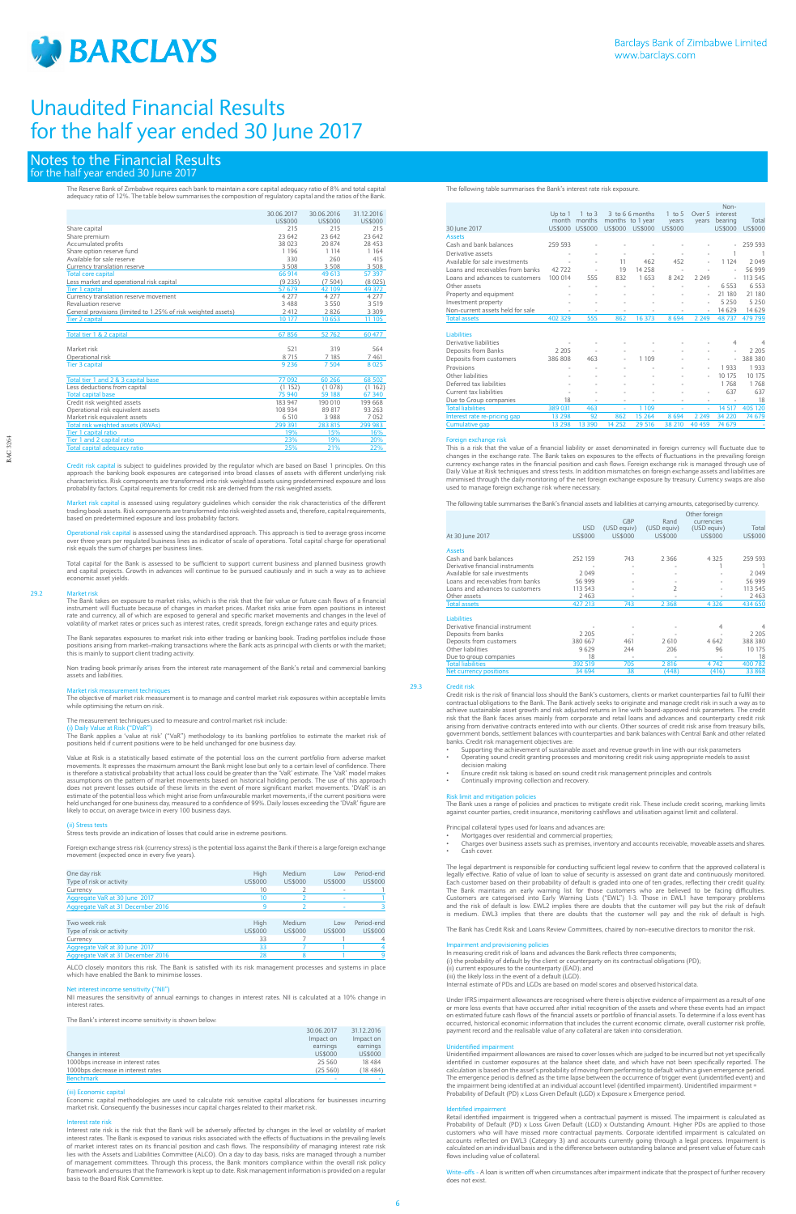

bital is subject to guidelines provided by the regulator which are based on Basel 1 principles. On this approach the banking book exposures are categorised into broad classes of assets with different underlying risk<br>characteristics. Risk components are transformed into risk weighted assets using predetermined exposure and lo

# Notes to the Financial Results for the half year ended 30 June 2017

The Reserve Bank of Zimbabwe requires each bank to maintain a core capital adequacy ratio of 8% and total capital<br>adequacy ratio of 12%. The table below summarises the composition of regulatory capital and the ratios of th

|                                                               | 30.06.2017<br>US\$000 | 30.06.2016<br>US\$000 | 31.12.2016<br>US\$000 |
|---------------------------------------------------------------|-----------------------|-----------------------|-----------------------|
| Share capital                                                 | 215                   | 215                   | 215                   |
| Share premium                                                 | 23 642                | 23 642                | 23 642                |
| Accumulated profits                                           | 38 0 23               | 20 874                | 28 453                |
| Share option reserve fund                                     | 1 1 9 6               | 1 1 1 4               | 1 1 6 4               |
| Available for sale reserve                                    | 330                   | 260                   | 415                   |
| Currency translation reserve                                  | 3508                  | 3 5 0 8               | 3508                  |
| <b>Total core capital</b>                                     | 66 914                | 49 613                | 57 397                |
| Less market and operational risk capital                      | (9235)                | (7504)                | (8025)                |
| <b>Tier 1 capital</b>                                         | 57 679                | 42 109                | 49 372                |
| Currency translation reserve movement                         | 4 2 7 7               | 4 2 7 7               | 4 2 7 7               |
| Revaluation reserve                                           | 3488                  | 3 5 5 0               | 3 5 1 9               |
| General provisions (limited to 1.25% of risk weighted assets) | 2 4 1 2               | 2826                  | 3 3 0 9               |
| Tier 2 capital                                                | 10 177                | 10 653                | 11 105                |
| Total tier 1 & 2 capital                                      | 67856                 | 52762                 | 60 477                |
| Market risk                                                   | 521                   | 319                   | 564                   |
| Operational risk                                              | 8 7 1 5               | 7 185                 | 7461                  |
| <b>Tier 3 capital</b>                                         | 9 2 3 6               | 7 5 0 4               | 8 0 25                |
| Total tier 1 and 2 & 3 capital base                           | 77 092                | 60 266                | 68 502                |
| Less deductions from capital                                  | (1152)                | (1078)                | (1162)                |
| <b>Total capital base</b>                                     | 75 940                | 59 188                | 67 340                |
| Credit risk weighted assets                                   | 183 947               | 190 010               | 199 668               |
| Operational risk equivalent assets                            | 108 934               | 89 817                | 93 263                |
| Market risk equivalent assets                                 | 6 5 1 0               | 3988                  | 7052                  |
| <b>Total risk weighted assets (RWAs)</b>                      | 299 391               | 283 815               | 299 983               |
| Tier 1 capital ratio                                          | 19%                   | 15%                   | 16%                   |
| Tier 1 and 2 capital ratio                                    | 23%                   | 19%                   | 20%                   |
| Otal canital adoptions ratio                                  | 25%                   | 710%                  | 770/                  |

<u>Market risk capital is assessed using regulatory guidelines which consider the risk characteristics of the different<br>trading book assets. Risk components are transformed into risk weighted assets and, therefore, capital r</u> based on predetermined exposure and loss probability factors.

<mark>pital</mark> is assessed using the standardised approach. This approach is tied to average gross income over three years per regulated business lines as indicator of scale of operations. Total capital charge for operational risk equals the sum of charges per business lines.

The Bank takes on exposure to market risks, which is the risk that the fair value or future cash flows of a financial instrument will fluctuate because of changes in market prices. Market risks arise from open positions in interest<br>rate and currency, all of which are exposed to general and specific market movements and changes in the leve

The Bank separates exposures to market risk into either trading or banking book. Trading portfolios include those<br>positions arising from market–making transactions where the Bank acts as principal with clients or with the this is mainly to support client trading activity.

Total capital for the Bank is assessed to be sufficient to support current business and planned business growth and capital projects. Growth in advances will continue to be pursued cautiously and in such a way as to achieve economic asset yields.

#### 29.2 Market risk

Non trading book primarily arises from the interest rate management of the Bank's retail and commercial banking assets and liabilities.

#### Market risk measurement techniques

The objective of market risk measurement is to manage and control market risk exposures within acceptable limits while optimising the return on risk.

# The measurement techniques used to measure and control market risk include:

(i) Daily Value at Risk ("DVaR") The Bank applies a 'value at risk' ("VaR") methodology to its banking portfolios to estimate the market risk of positions held if current positions were to be held unchanged for one business day.

Value at Risk is a statistically based estimate of the potential loss on the current portfolio from adverse market movements. It expresses the maximum amount the Bank might lose but only to a certain level of confidence. There<br>is therefore a statistical probability that actual loss could be greater than the 'VaR' estimate. The 'VaR' mo does not prevent losses outside of these limits in the event of more significant market movements. 'DVaR' is an<br>estimate of the potential loss which might arise from unfavourable market movements, if the current positions likely to occur, on average twice in every 100 business days.

(ii) Stress tests Stress tests provide an indication of losses that could arise in extreme positions.

Foreign exchange stress risk (currency stress) is the potential loss against the Bank if there is a large foreign exchange movement (expected once in every five years).

|         | Medium     | Low     | Period-end     |
|---------|------------|---------|----------------|
| US\$000 | US\$000    | US\$000 | US\$000        |
| 10      |            | $\sim$  |                |
| 10      |            |         |                |
| 9       |            |         |                |
|         |            |         |                |
| High    | Medium     | Low     | Period-end     |
| US\$000 | US\$000    | US\$000 | <b>US\$000</b> |
| 33      |            |         |                |
| 33      |            |         |                |
|         | 8          |         | q              |
|         | High<br>28 |         |                |

which have enabled the Bank to minimise losses.

- Mortgages over residential and commercial properties:
- Charges over business assets such as premises, inventory and accounts receivable, moveable assets and shares. Cash cover.

The legal department is responsible for conducting sufficient legal review to confirm that the approved collateral is legally effective. Ratio of value of loan to value of security is assessed on grant date and continuously monitored. Each customer based on their probability of default is graded into one of ten grades, reflecting their credit quality. The Bank maintains an early warning list for those customers who are believed to be facing difficulties. Customers are categorised into Early Warning Lists ("EWL") 1-3. Those in EWL1 have temporary problems and the risk of default is low. EWL2 implies there are doubts that the customer will pay but the risk of default is medium. EWL3 implies that there are doubts that the customer will pay and the risk of default is high

#### Net interest income sensitivity ("NII")

NII measures the sensitivity of annual earnings to changes in interest rates. NII is calculated at a 10% change in interest rates.

The Bank's interest income sensitivity is shown below:

|                                    | 30.06.2017 | 31.12.2016 |
|------------------------------------|------------|------------|
|                                    | Impact on  | Impact on  |
|                                    | earnings   | earnings   |
| Changes in interest                | US\$000    | US\$000    |
| 1000bps increase in interest rates | 25 560     | 18484      |
| 1000bps decrease in interest rates | (25 560)   | (18484)    |
| <b>Benchmark</b>                   |            |            |

#### (iii) Economic capital

Economic capital methodologies are used to calculate risk sensitive capital allocations for businesses incurring market risk. Consequently the businesses incur capital charges related to their market risk.

#### Interest rate risk

Interest rate risk is the risk that the Bank will be adversely affected by changes in the level or volatility of market interest rates. The Bank is exposed to various risks associated with the effects of fluctuations in the prevailing levels of market interest rates on its financial position and cash flows. The responsibility of managing interest rate risk lies with the Assets and Liabilities Committee (ALCO). On a day to day basis, risks are managed through a number of management committees. Through this process, the Bank monitors compliance within the overall risk policy framework and ensures that the framework is kept up to date. Risk management information is provided on a regular basis to the Board Risk Committee.

The following table summarises the Bank's interest rate risk exposure.

-offs - A loan is written off when circumstances after impairment indicate that the prospect of further recovery does not exist.

| 30 lune 2017                     | $Up$ to $1$<br>month<br>US\$000 | $1$ to $3$<br>months<br><b>US\$000</b> | <b>US\$000</b> | 3 to 6 6 months<br>months to 1 year<br><b>US\$000</b> | $1$ to 5<br>years<br><b>US\$000</b> | Over 5<br>vears | Non-<br>interest<br>bearing<br><b>US\$000</b> | Total<br><b>US\$000</b> |
|----------------------------------|---------------------------------|----------------------------------------|----------------|-------------------------------------------------------|-------------------------------------|-----------------|-----------------------------------------------|-------------------------|
| <b>Assets</b>                    |                                 |                                        |                |                                                       |                                     |                 |                                               |                         |
| Cash and bank balances           | 259 593                         |                                        |                |                                                       |                                     |                 |                                               | 259 593                 |
| Derivative assets                |                                 |                                        |                | ×,                                                    |                                     |                 | 1                                             | -1                      |
| Available for sale investments   |                                 | ٠                                      | 11             | 462                                                   | 452                                 | ٠               | 1 1 2 4                                       | 2049                    |
| Loans and receivables from banks | 42722                           | ٠                                      | 19             | 14 2 5 8                                              | ٠                                   |                 | ٠                                             | 56 999                  |
| Loans and advances to customers  | 100 014                         | 555                                    | 832            | 1653                                                  | 8 2 4 2                             | 2 2 4 9         | ä,                                            | 113 545                 |
| Other assets                     |                                 |                                        |                |                                                       |                                     |                 | 6 5 5 3                                       | 6 5 5 3                 |
| Property and equipment           |                                 | ٠                                      | ٠              | ×,                                                    | ÷                                   | ٠               | 21 180                                        | 21 180                  |
| Investment property              |                                 |                                        |                |                                                       |                                     | ÷               | 5 2 5 0                                       | 5 2 5 0                 |
| Non-current assets held for sale |                                 | ٠                                      |                |                                                       |                                     | ÷               | 14 6 29                                       | 14 629                  |
| <b>Total assets</b>              | 402 329                         | 555                                    | 862            | 16 373                                                | 8694                                | 2 2 4 9         | 48737                                         | 479 799                 |
|                                  |                                 |                                        |                |                                                       |                                     |                 |                                               |                         |
| <b>Liabilities</b>               |                                 |                                        |                |                                                       |                                     |                 |                                               |                         |
| Derivative liabilities           |                                 |                                        |                |                                                       |                                     |                 | 4                                             | 4                       |
| Deposits from Banks              | 2 2 0 5                         |                                        | ٠              |                                                       |                                     |                 | ×,                                            | 2 2 0 5                 |
| Deposits from customers          | 386 808                         | 463                                    | ä,             | 1 1 0 9                                               |                                     |                 | ä,                                            | 388 380                 |
| Provisions                       |                                 |                                        | ä,             |                                                       |                                     | ٠               | 1933                                          | 1933                    |
| Other liabilities                |                                 |                                        |                |                                                       |                                     | ٠               | 10 175                                        | 10 175                  |
| Deferred tax liabilities         |                                 |                                        |                |                                                       |                                     |                 | 1768                                          | 1768                    |
| Current tax liabilities          |                                 |                                        |                |                                                       |                                     | ٠               | 637                                           | 637                     |
| Due to Group companies           | 18                              |                                        | ۰              | ٠                                                     |                                     | ٠               | ٠                                             | 18                      |
| <b>Total liabilities</b>         | 389 031                         | 463                                    | ٠              | 1 109                                                 |                                     | ٠               | 14 517                                        | 405 120                 |
| Interest rate re-pricing gap     | 13 2 98                         | 92                                     | 862            | 15 2 64                                               | 8694                                | 2 2 4 9         | 34 2 20                                       | 74 679                  |
| <b>Cumulative gap</b>            | 13 298                          | 13 390                                 | 14 2 5 2       | 29 516                                                | 38 210                              | 40 459          | 74 679                                        |                         |

#### Foreign exchange risk

This is a risk that the value of a financial liability or asset denominated in foreign currency will fluctuate due to changes in the exchange rate. The Bank takes on exposures to the effects of fluctuations in the prevailing foreign currency exchange rates in the financial position and cash flows. Foreign exchange risk is managed through use of<br>Daily Value at Risk techniques and stress tests. In addition mismatches on foreign exchange assets and liabi minimised through the daily monitoring of the net foreign exchange exposure by treasury. Currency swaps are also used to manage foreign exchange risk where necessary.

The following table summarises the Bank's financial assets and liabilities at carrying amounts, categorised by currency.

| At 30 June 2017                  | <b>USD</b><br>US\$000 | <b>GBP</b><br>(USD equiv)<br>US\$000 | Rand<br>(USD equiv)<br>US\$000 | Other foreign<br>currencies<br>(USD equiv)<br>US\$000 | Total<br>US\$000 |
|----------------------------------|-----------------------|--------------------------------------|--------------------------------|-------------------------------------------------------|------------------|
|                                  |                       |                                      |                                |                                                       |                  |
| <b>Assets</b>                    |                       |                                      |                                |                                                       |                  |
| Cash and bank balances           | 252 159               | 743                                  | 2 3 6 6                        | 4 3 2 5                                               | 259 593          |
| Derivative financial instruments |                       |                                      |                                |                                                       |                  |
| Available for sale investments   | 2049                  |                                      |                                |                                                       | 2 0 4 9          |
| Loans and receivables from banks | 56 999                |                                      |                                |                                                       | 56 999           |
| Loans and advances to customers  | 113 543               |                                      | 2                              |                                                       | 113 545          |
| Other assets                     | 2 4 6 3               |                                      |                                |                                                       | 2 4 6 3          |
| <b>Total assets</b>              | 427 213               | 743                                  | 2 3 6 8                        | 4 3 2 6                                               | 434 650          |
| <b>Liabilities</b>               |                       |                                      |                                |                                                       |                  |
| Derivative financial instrument  |                       |                                      |                                | 4                                                     | 4                |
| Deposits from banks              | 2 2 0 5               |                                      |                                |                                                       | 2 2 0 5          |
| Deposits from customers          | 380 667               | 461                                  | 2610                           | 4642                                                  | 388 380          |
| Other liabilities                | 9629                  | 244                                  | 206                            | 96                                                    | 10 175           |
| Due to group companies           | 18                    | ٠                                    | $\overline{\phantom{a}}$       | ٠                                                     | 18               |
| <b>Total liabilities</b>         | 392 519               | 705                                  | 2816                           | 4742                                                  | 400 782          |
| Net currency positions           | 34 694                | 38                                   | (448)                          | (416)                                                 | 33 868           |
|                                  |                       |                                      |                                |                                                       |                  |

## 29.3

Credit risk is the risk of financial loss should the Bank's customers, clients or market counterparties fail to fulfil their contractual obligations to the Bank. The Bank actively seeks to originate and manage credit risk in such a way as to<br>achieve sustainable asset growth and risk adjusted returns in line with board-approved risk parameters. T risk that the Bank faces arises mainly from corporate and retail loans and advances and counterparty credit risk<br>arising from derivative contracts entered into with our clients. Other sources of credit risk arise from trea government bonds, settlement balances with counterparties and bank balances with Central Bank and other related banks. Credit risk management objectives are:

- Supporting the achievement of sustainable asset and revenue growth in line with our risk parameters Operating sound credit granting processes and monitoring credit risk using appropriate models to assist
- decision making
- Ensure credit risk taking is based on sound credit risk management principles and controls • Continually improving collection and recovery.

Risk limit and mitigation policies<br>The Bank uses a range of policies and practices to mitigate credit risk. These include credit scoring, marking limits<br>against counter parties, credit insurance, monitoring cashflows and u

Principal collateral types used for loans and advances are:

The Bank has Credit Risk and Loans Review Committees, chaired by non-executive directors to monitor the risk.

#### rment and provisioning policies

In measuring credit risk of loans and advances the Bank reflects three components; (i) the probability of default by the client or counterparty on its contractual oblig

(ii) current exposures to the counterparty (EAD); and (iii) the likely loss in the event of a default (LGD). Internal estimate of PDs and LGDs are based on model scores and observed historical data.

Under IFRS impairment allowances are recognised where there is objective evidence of impairment as a result of one or more loss events that have occurred after initial recognition of the assets and where these events had an impact on estimated future cash flows of the financial assets or portfolio of financial assets. To determine if a loss event has occurred, historical economic information that includes the current economic climate, overall customer risk profile, payment record and the realisable value of any collateral are taken into consideration.

Unidentified impairment Unidentified impairment allowances are raised to cover losses which are judged to be incurred but not yet specifically identified in customer exposures at the balance sheet date, and which have not been specifically reported. The<br>calculation is based on the asset's probability of moving from performing to default within a given emergence p The emergence period is defined as the time lapse between the occurrence of trigger event (unidentified event) and<br>the impairment being identified at an individual account level (identified impairment). Unidentified impair Probability of Default (PD) x Loss Given Default (LGD) x Exposure x Emergence period.

Identified impairment Retail identified impairment is triggered when a contractual payment is missed. The impairment is calculated as Probability of Default (PD) x Loss Given Default (LGD) x Outstanding Amount. Higher PDs are applied to those customers who will have missed more contractual payments. Corporate identified impairment is calculated on accounts reflected on EWL3 (Category 3) and accounts currently going through a legal process. Impairment is calculated on an individual basis and is the difference between outstanding balance and present value of future cash flows including value of collateral.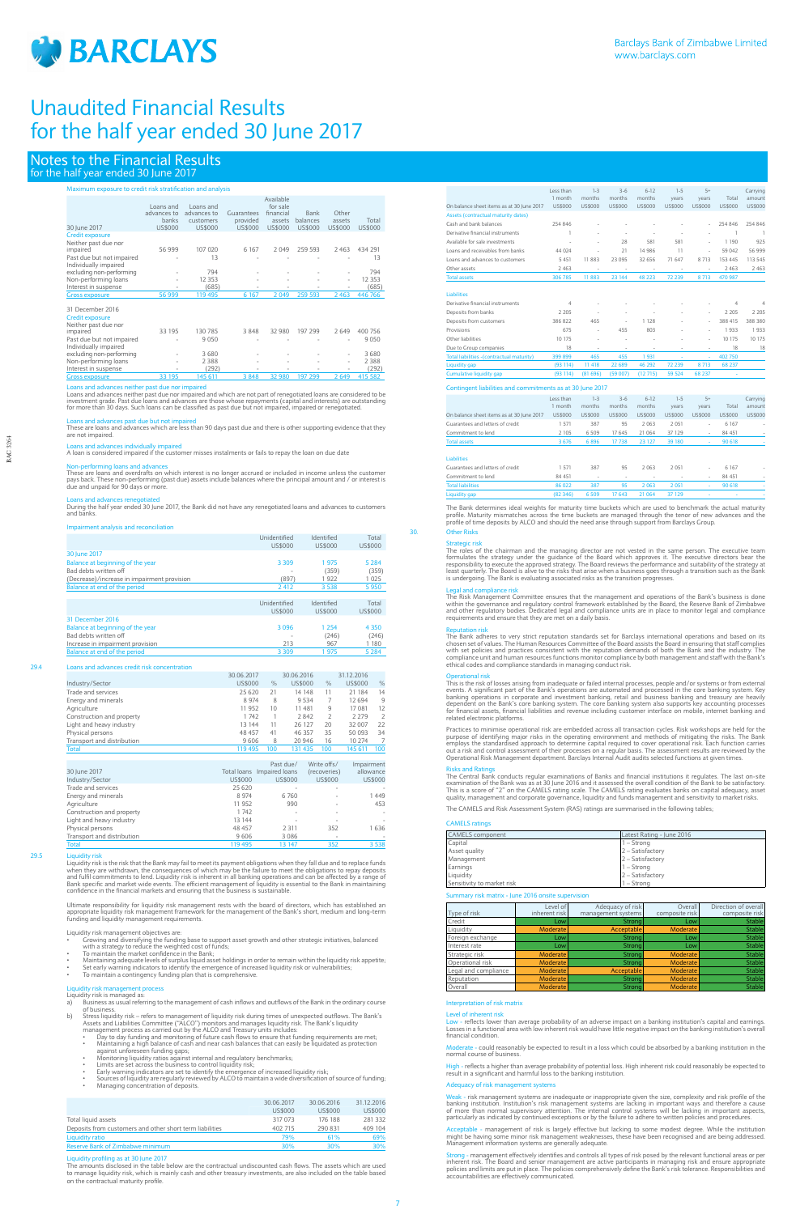

# Notes to the Financial Results for the half year ended 30 June 2017

# Maximum exposure to credit risk stratification and analysis

| Loans and   | Loans and        |                          | Available<br>for sale |                   |                     |                   |
|-------------|------------------|--------------------------|-----------------------|-------------------|---------------------|-------------------|
| advances to | advances to      | Guarantees               | financial             | <b>Bank</b>       | Other               |                   |
|             |                  |                          |                       |                   |                     | Total             |
|             |                  |                          |                       |                   |                     | US\$000           |
|             |                  |                          |                       |                   |                     |                   |
| 56 999      | 107 020          | 6 1 6 7                  | 2049                  | 259 593           | 2463                | 434 291           |
| ٠           | 13               |                          |                       |                   |                     | 13                |
|             | 794              |                          |                       |                   | ۰                   | 794               |
| ۰           | 12 3 5 3         |                          |                       |                   | ۰.                  | 12 3 5 3          |
| ۰           | (685)            | $\overline{\phantom{a}}$ |                       | ۰                 |                     | (685)             |
| 56 999      | 119 495          | 6 1 6 7                  | 2049                  | 259 593           | 2463                | 446 766           |
| 33 195      | 130 785          | 3848                     | 32 980                | 197 299           | 2649                | 400 756           |
|             | banks<br>US\$000 | customers<br>US\$000     | provided<br>US\$000   | assets<br>US\$000 | balances<br>US\$000 | assets<br>US\$000 |

| impaired                  | 33 IYO | 30 / 30 | C 64 C                   | 32 YOU                   | 197 Z99                  | Z 049.                   | 400 756 |
|---------------------------|--------|---------|--------------------------|--------------------------|--------------------------|--------------------------|---------|
| Past due but not impaired |        | 9050    |                          | $\overline{\phantom{a}}$ |                          | $\sim$                   | 9050    |
| Individually impaired     |        |         |                          |                          |                          |                          |         |
| excluding non-performing  | ۰      | 3680    |                          | $\sim$                   | $\overline{\phantom{a}}$ | ٠                        | 3680    |
| Non-performing loans      | ۰      | 2 3 8 8 |                          | $\sim$                   | $\overline{\phantom{a}}$ | ۰                        | 2388    |
| Interest in suspense      |        | (292)   | $\overline{\phantom{a}}$ | ٠                        |                          | $\overline{\phantom{a}}$ | (292)   |
| <b>Gross exposure</b>     | 33 195 | 45 611  | 3848                     |                          | 197 299                  | ' 649                    | 15 582  |

Loans and advances neither past due nor impaired<br>Loans and advances neither past due nor impaired and which are not part of renegotiated loans are considered to be<br>investment grade. Past due loans and advances are those wh

# nces past due but not i

These are loans and advances which are less than 90 days past due and there is other supporting evidence that they are not impaired.

Loans and advances individually impaired A loan is considered impaired if the customer misses instalments or fails to repay the loan on due date

Non-performing loans and advances These are loans and overdrafts on which interest is no longer accrued or included in income unless the customer pays back. These non-performing (past due) assets include balances where the principal amount and / or interest is due and unpaid for 90 days or more.

Liquidity risk is the risk that the Bank may fail to meet its payment obligations when they fall due and to replace funds<br>when they are withdrawn, the consequences of which may be the failure to meet the obligations to rep confidence in the financial markets and ensuring that the business is sustainable.

Ultimate responsibility for liquidity risk management rests with the board of directors, which has established an<br>appropriate liquidity risk management framework for the management of the Bank's short, medium and long-term

Loans and advances renegotiated During the half year ended 30 June 2017, the Bank did not have any renegotiated loans and advances to customers and banks.

### nt analysis and reconcil

- Liquidity risk management objectives are:<br>• Growing and diversifying the funding base to support asset growth and other strategic initiatives, balanced<br>• with a strategy to reduce the weighted cost of
	- Maintaining adequate levels of surplus liquid asset holdings in order to remain within the liquidity risk appetite;
- 
- Set early warning indicators to identify the emergence of increased liquidity risk or vulnerabilities;
- To maintain a contingency funding plan that is comprehensive.

- Liquidity risk management process Liquidity risk is managed as: a) Business as usual referring to the management of cash inflows and outflows of the Bank in the ordinary course of business.
- b) Stress liquidity risk refers to management of liquidity risk during times of unexpected outflows. The Bank's Assets and Liabilities Committee ("ALCO") monitors and manages liquidity risk. The Bank's liquidity manageme
	-
	- against unforeseen funding gaps;
	-
	-
	-
- Monitoring liquidity ratios against internal and regulatory benchmarks;<br>• Limits are set across the business to control liquidity risk;<br>• Early warning indicators are set to identify the emergence of increased liquidity
	-

|                                             | Unidentified<br>US\$000 | Identified<br>US\$000 | Total<br>US\$000 |
|---------------------------------------------|-------------------------|-----------------------|------------------|
| 30 June 2017                                |                         |                       |                  |
| Balance at beginning of the year            | 3 3 0 9                 | 1975                  | 5 2 8 4          |
| Bad debts written off                       | ٠                       | (359)                 | (359)            |
| (Decrease)/increase in impairment provision | (897)                   | 1922                  | 1025             |
| Balance at end of the period                | 2412                    | 3 5 3 8               | 5950             |
|                                             |                         |                       |                  |
|                                             | Unidentified            | Identified            | Total            |
|                                             | US\$000                 | US\$000               | US\$000          |
| 31 December 2016                            |                         |                       |                  |
| Balance at beginning of the year            | 3096                    | 1 2 5 4               | 4 3 5 0          |
| Bad debts written off                       |                         | (246)                 | (246)            |
| Increase in impairment provision            | 213                     | 967                   | 1 1 8 0          |
| Balance at end of the period                | 3 3 0 9                 | 1975                  | 5 2 8 4          |

# 29.4 Loans and advances credit risk concentration

|                            | 30.06.2017 |      | 30.06.2016 |                | 31.12.2016 |                |
|----------------------------|------------|------|------------|----------------|------------|----------------|
| Industry/Sector            | US\$000    | $\%$ | US\$000    | $\%$           | US\$000    | $\frac{0}{0}$  |
| Trade and services         | 25 6 20    | 21   | 14 148     | 11             | 21 184     | 14             |
| Energy and minerals        | 8 9 7 4    | 8    | 9 5 3 4    |                | 12 694     | 9              |
| Agriculture                | 11 952     | 10   | 11 481     | 9              | 17 081     | 12             |
| Construction and property  | 1 742      |      | 2842       | $\overline{2}$ | 2 2 7 9    | $\overline{2}$ |
| Light and heavy industry   | 13 144     | 11   | 26 127     | 20             | 32 007     | 22             |
| Physical persons           | 48 457     | 41   | 46 357     | 35             | 50 093     | 34             |
| Transport and distribution | 9606       | 8    | 20 946     | 16             | 10 274     |                |
| <b>Total</b>               | 119 495    | 100  | 131 435    | 100            | 145 611    | 100            |

|                            |         | Past due/                  | Write offs/  | Impairment               |
|----------------------------|---------|----------------------------|--------------|--------------------------|
| 30 June 2017               |         | Total loans Impaired loans | (recoveries) | allowance                |
| Industry/Sector            | US\$000 | US\$000                    | US\$000      | US\$000                  |
| Trade and services         | 25 6 20 | $\overline{\phantom{a}}$   | ۰            |                          |
| Energy and minerals        | 8 9 7 4 | 6760                       | ۰            | 1449                     |
| Agriculture                | 11 952  | 990                        | ۰            | 453                      |
| Construction and property  | 1742    | $\overline{\phantom{a}}$   | ۰            | $\overline{\phantom{a}}$ |
| Light and heavy industry   | 13 144  | $\sim$                     | $\sim$       | $\sim$                   |
| Physical persons           | 48 457  | 2 3 1 1                    | 352          | 1636                     |
| Transport and distribution | 9606    | 3 0 8 6                    | ۰            | ۰                        |
| <b>Total</b>               | 119 495 | 13 147                     | 352          | 3 5 3 8                  |

#### 29.5 Liquidity risk

Legal and compliance risk<br>The Risk Management Committee ensures that the management and operations of the Bank's business is done<br>within the governance and regulatory control framework established by the Board, the Reserve requirements and ensure that they are met on a daily basis.

Reputation risk The Bank adheres to very strict reputation standards set for Barclays international operations and based on its chosen set of values. The Human Resources Committee of the Board assists the Board in ensuring that staff complies<br>with set policies and practices consistent with the reputation demands of both the Bank and the industry. T

Operational risk<br>This is the risk of losses arising from inadequate or failed internal processes, people and/or systems or from external<br>events. A significant part of the Bank's operations are automated and processed in th for financial assets, financial liabilities and revenue including customer interface on mobile, internet banking and related electronic platforms.

Practices to minimise operational risk are embedded across all transaction cycles. Risk workshops are held for the purpose of identifying major risks in the operating environment and methods of mitigating the risks. The Bank<br>employs the standardised approach to determine capital required to cover operational risk. Each function carries

Risks and Ratings<br>The Central Bank conducts regular examinations of Banks and financial institutions it regulates. The last on-site<br>examination of the Bank was as at 30 June 2016 and it assessed the overall condition of th

|                                                          | 30.06.2017 | 30.06.2016 | 31.12.2016 |
|----------------------------------------------------------|------------|------------|------------|
|                                                          | US\$000    | US\$000    | US\$000    |
| Total liquid assets                                      | 317 073    | 176 188    | 281 332    |
| Deposits from customers and other short term liabilities | 402 715    | 290 831    | 409 104    |
| Liquidity ratio                                          | 79%        | 61%        | 69%        |
| Reserve Bank of Zimbabwe minimum                         | 30%        | 30%        | 30%        |
|                                                          |            |            |            |

#### Liquidity profiling as at 30 June 2017

Low - reflects lower than average probability of an adverse impact on a banking institution's capital and earnings.<br>Losses in a functional area with low inherent risk would have little negative impact on the banking instit financial condition.

The amounts disclosed in the table below are the contractual undiscounted cash flows. The assets which are used to manage liquidity risk, which is mainly cash and other treasury investments, are also included on the table based on the contractual maturity profile.

## **Interpretation of risk matrix**

### Level of inh

te - could reasonably be expected to result in a loss which could be absorbed by a banking institution in the normal course of business.

reflects a higher than average probability of potential loss. High inherent risk could reasonably be expected to result in a significant and harmful loss to the banking institution.

#### Adequacy of risk manager

Weak - risk management systems are inadequate or inappropriate given the size, complexity and risk profile of the<br>banking institution. Institution's risk management systems are lacking in important ways and therefore a cau

Acceptable - management of risk is largely effective but lacking to some modest degree. While the institution<br>might be having some minor risk management weaknesses, these have been recognised and are being addressed.<br>Manag

<u>Strong</u> - management effectively identifies and controls all types of risk posed by the relevant functional areas or per<br>inherent risk. The Board and senior management are active participants in managing risk and ensure a accountabilities are effectively communicated.

|                                                           | Less than      | $1-3$   | $3 - 6$        | $6-12$         | $1 - 5$        | $5+$           |                | Carrying       |
|-----------------------------------------------------------|----------------|---------|----------------|----------------|----------------|----------------|----------------|----------------|
|                                                           | 1 month        | months  | months         | months         | years          | years          | Total          | amount         |
| On balance sheet items as at 30 lune 2017                 | US\$000        | US\$000 | <b>US\$000</b> | <b>US\$000</b> | US\$000        | US\$000        | US\$000        | <b>US\$000</b> |
| Assets (contractual maturity dates)                       |                |         |                |                |                |                |                |                |
| Cash and bank balances                                    | 254 846        |         |                |                |                |                | 254 846        | 254 846        |
| Derivative financial instruments                          | $\mathbf{1}$   |         |                |                |                |                | 1              | $\overline{1}$ |
| Available for sale investments                            |                |         | 28             | 581            | 581            |                | 1 1 9 0        | 925            |
| Loans and receivables from banks                          | 44 0 24        |         | 21             | 14 9 8 6       | 11             |                | 59 042         | 56 999         |
| Loans and advances to customers                           | 5 4 5 1        | 11883   | 23 0 95        | 32 656         | 71 647         | 8 7 1 3        | 153 445        | 113 545        |
| Other assets                                              | 2 4 6 3        | $\sim$  | $\bar{a}$      |                |                |                | 2463           | 2463           |
| <b>Total assets</b>                                       | 306 785        | 11883   | 23 144         | 48 223         | 72 239         | 8713           | 470 987        |                |
| Liabilities                                               |                |         |                |                |                |                |                |                |
| Derivative financial instruments                          | $\overline{4}$ |         |                |                |                |                | 4              | $\overline{4}$ |
| Deposits from banks                                       | 2 2 0 5        |         | ÷              |                |                |                | 2 205          | 2 2 0 5        |
| Deposits from customers                                   | 386 822        | 465     | ÷              | 1 1 2 8        |                | ÷              | 388 415        | 388 380        |
| Provisions                                                | 675            |         | 455            | 803            |                | ÷              | 1933           | 1933           |
| Other liabilities                                         | 10 175         |         | ÷,             |                |                | ÷              | 10 175         | 10 175         |
| Due to Group companies                                    | 18             | ä,      | ٠              | ٠              |                |                | 18             | 18             |
| Total liabilities - (contractual maturity)                | 399 899        | 465     | 455            | 1931           |                |                | 402 750        |                |
| Liquidity gap                                             | (93 114)       | 11 418  | 22 689         | 46 292         | 72 239         | 8713           | 68 237         |                |
| <b>Cumulative liquidity gap</b>                           | (93 114)       | (81696) | (59007)        | (12715)        | 59 5 24        | 68 237         |                |                |
| Contingent liabilities and commitments as at 30 June 2017 |                |         |                |                |                |                |                |                |
|                                                           | Less than      | $1-3$   | $3 - 6$        | $6-12$         | $1 - 5$        | $5+$           |                | Carrying       |
|                                                           | 1 month        | months  | months         | months         | years          | years          | Total          | amount         |
| On balance sheet items as at 30 lune 2017                 | US\$000        | US\$000 | <b>US\$000</b> | US\$000        | <b>US\$000</b> | <b>US\$000</b> | <b>US\$000</b> | <b>US\$000</b> |
| Guarantees and letters of credit                          | 1 571          | 387     | 95             | 2.063          | 2051           | à.             | 6 1 6 7        |                |
| Commitment to lend                                        | 2 1 0 5        | 6509    | 17 645         | 21 064         | 37 129         | $\sim$         | 84 451         |                |
| <b>Total assets</b>                                       | 3676           | 6896    | 17738          | 23 127         | 39 180         |                | 90 618         |                |
| <b>Liabilities</b>                                        |                |         |                |                |                |                |                |                |
| Guarantees and letters of credit                          | 1 5 7 1        | 387     | 95             | 2063           | 2051           |                | 6 1 6 7        |                |
| Commitment to lend                                        | 84 451         | ÷       | ä,             | $\sim$         | ÷              | ÷              | 84 451         |                |
| <b>Total liabilities</b>                                  | 86 022         | 387     | 95             | 2063           | 2051           |                | 90 618         |                |
|                                                           |                |         |                |                |                |                |                |                |

The Bank determines ideal weights for maturity time buckets which are used to benchmark the actual maturity profile. Maturity mismatches across the time buckets are managed through the tenor of new advances and the profile of time deposits by ALCO and should the need arise through support from Barclays Group.

# 30. Other Risks

Strategic ris The roles of the chairman and the managing director are not vested in the same person. The executive team<br>formulates the strategy under the guidance of the Board which approves it. The executive directors bear the<br>responsi

The CAMELS and Risk Assessment System (RAS) ratings are summarised in the following tables;

# CAMELS ratings

| <b>CAMELS</b> component    | Latest Rating - June 2016 |
|----------------------------|---------------------------|
| Capital                    | $1 -$ Strong              |
| Asset quality              | 2 - Satisfactory          |
| Management                 | 2 - Satisfactory          |
| Earnings                   | $1 -$ Strong              |
| Liquidity                  | 2 - Satisfactory          |
| Sensitivity to market risk | $1 -$ Strong              |

## nurisk matrix - June 2016 onsite super

| Surfirmary risk matrix - june 2016 onsite supervision |                           |                                        |                           |                                        |  |  |  |
|-------------------------------------------------------|---------------------------|----------------------------------------|---------------------------|----------------------------------------|--|--|--|
| Type of risk                                          | Level of<br>inherent risk | Adequacy of risk<br>management systems | Overall<br>composite risk | Direction of overall<br>composite risk |  |  |  |
| Credit                                                | Low                       | Strong                                 | Low                       | <b>Stable</b>                          |  |  |  |
| Liquidity                                             | Moderate                  | Acceptable                             | Moderate                  | <b>Stable</b>                          |  |  |  |
| Foreign exchange                                      | Low                       | Strong                                 | Low                       | <b>Stable</b>                          |  |  |  |
| Interest rate                                         | Low                       | <b>Strong</b>                          | Low                       | <b>Stable</b>                          |  |  |  |
| Strategic risk                                        | Moderate                  | Strong                                 | Moderate                  | <b>Stable</b>                          |  |  |  |
| Operational risk                                      | Moderate                  | Strong                                 | Moderate                  | <b>Stable</b>                          |  |  |  |
| Legal and compliance                                  | Moderate                  | Acceptable                             | Moderate                  | <b>Stable</b>                          |  |  |  |
| Reputation                                            | <b>Moderate</b>           | Strong                                 | Moderate                  | <b>Stable</b>                          |  |  |  |
| Overall                                               | Moderate                  | <b>Strong</b>                          | Moderatel                 | <b>Stable</b>                          |  |  |  |